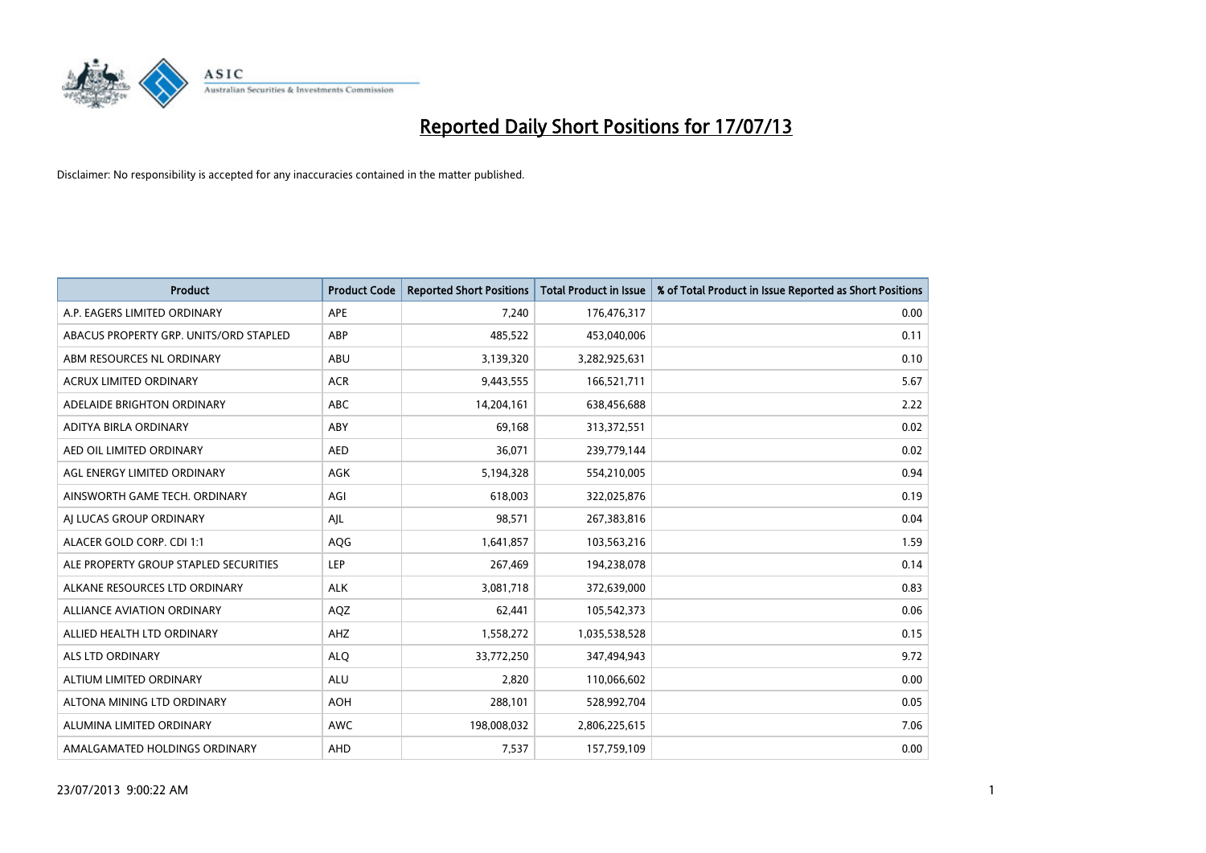

| <b>Product</b>                         | <b>Product Code</b> | <b>Reported Short Positions</b> | <b>Total Product in Issue</b> | % of Total Product in Issue Reported as Short Positions |
|----------------------------------------|---------------------|---------------------------------|-------------------------------|---------------------------------------------------------|
| A.P. EAGERS LIMITED ORDINARY           | APE                 | 7,240                           | 176,476,317                   | 0.00                                                    |
| ABACUS PROPERTY GRP. UNITS/ORD STAPLED | ABP                 | 485,522                         | 453,040,006                   | 0.11                                                    |
| ABM RESOURCES NL ORDINARY              | ABU                 | 3,139,320                       | 3,282,925,631                 | 0.10                                                    |
| ACRUX LIMITED ORDINARY                 | <b>ACR</b>          | 9,443,555                       | 166,521,711                   | 5.67                                                    |
| ADELAIDE BRIGHTON ORDINARY             | <b>ABC</b>          | 14,204,161                      | 638,456,688                   | 2.22                                                    |
| ADITYA BIRLA ORDINARY                  | ABY                 | 69,168                          | 313,372,551                   | 0.02                                                    |
| AED OIL LIMITED ORDINARY               | <b>AED</b>          | 36,071                          | 239,779,144                   | 0.02                                                    |
| AGL ENERGY LIMITED ORDINARY            | AGK                 | 5,194,328                       | 554,210,005                   | 0.94                                                    |
| AINSWORTH GAME TECH. ORDINARY          | AGI                 | 618,003                         | 322,025,876                   | 0.19                                                    |
| AI LUCAS GROUP ORDINARY                | AJL                 | 98,571                          | 267,383,816                   | 0.04                                                    |
| ALACER GOLD CORP. CDI 1:1              | AQG                 | 1,641,857                       | 103,563,216                   | 1.59                                                    |
| ALE PROPERTY GROUP STAPLED SECURITIES  | LEP                 | 267,469                         | 194,238,078                   | 0.14                                                    |
| ALKANE RESOURCES LTD ORDINARY          | <b>ALK</b>          | 3,081,718                       | 372,639,000                   | 0.83                                                    |
| ALLIANCE AVIATION ORDINARY             | AQZ                 | 62,441                          | 105,542,373                   | 0.06                                                    |
| ALLIED HEALTH LTD ORDINARY             | AHZ                 | 1,558,272                       | 1,035,538,528                 | 0.15                                                    |
| ALS LTD ORDINARY                       | <b>ALQ</b>          | 33,772,250                      | 347,494,943                   | 9.72                                                    |
| ALTIUM LIMITED ORDINARY                | <b>ALU</b>          | 2,820                           | 110,066,602                   | 0.00                                                    |
| ALTONA MINING LTD ORDINARY             | <b>AOH</b>          | 288,101                         | 528,992,704                   | 0.05                                                    |
| ALUMINA LIMITED ORDINARY               | <b>AWC</b>          | 198,008,032                     | 2,806,225,615                 | 7.06                                                    |
| AMALGAMATED HOLDINGS ORDINARY          | AHD                 | 7,537                           | 157,759,109                   | 0.00                                                    |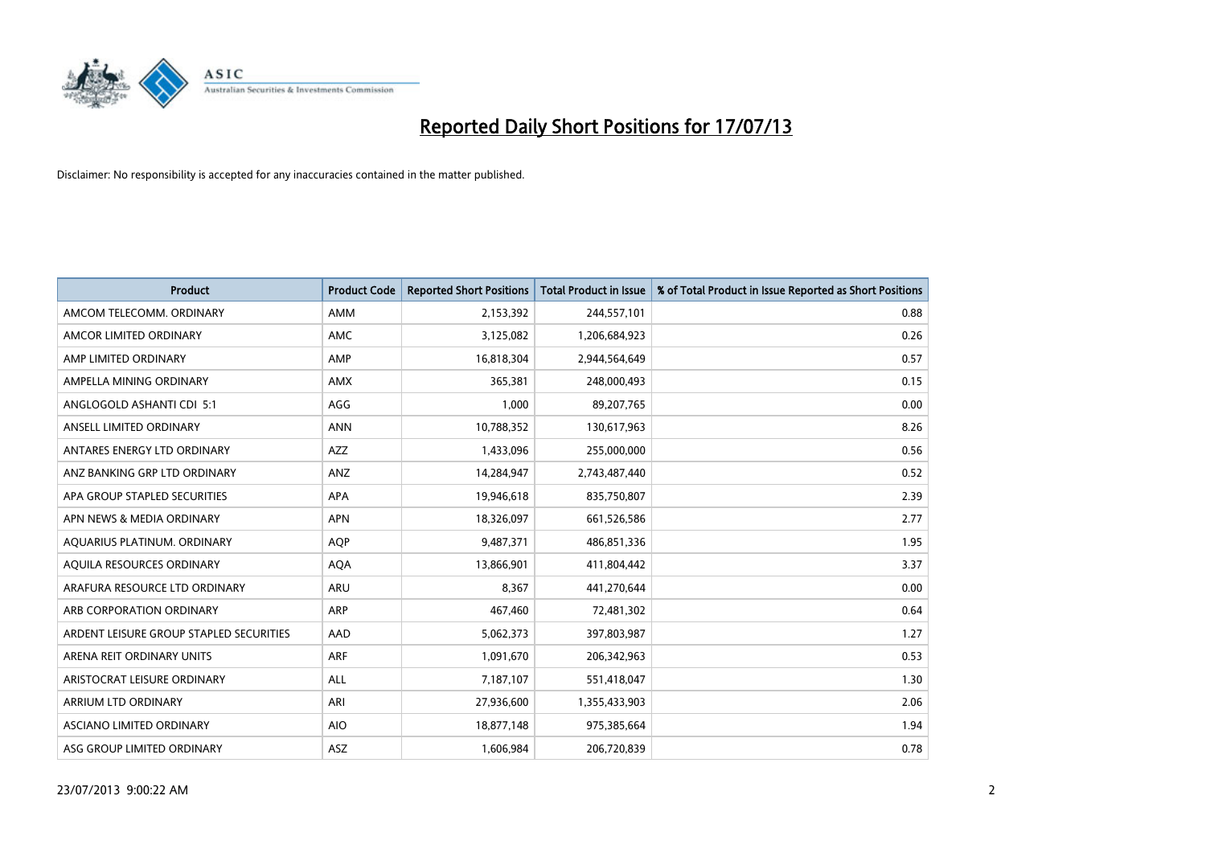

| <b>Product</b>                          | <b>Product Code</b> | <b>Reported Short Positions</b> | <b>Total Product in Issue</b> | % of Total Product in Issue Reported as Short Positions |
|-----------------------------------------|---------------------|---------------------------------|-------------------------------|---------------------------------------------------------|
| AMCOM TELECOMM, ORDINARY                | <b>AMM</b>          | 2,153,392                       | 244,557,101                   | 0.88                                                    |
| AMCOR LIMITED ORDINARY                  | AMC                 | 3,125,082                       | 1,206,684,923                 | 0.26                                                    |
| AMP LIMITED ORDINARY                    | AMP                 | 16,818,304                      | 2,944,564,649                 | 0.57                                                    |
| AMPELLA MINING ORDINARY                 | <b>AMX</b>          | 365,381                         | 248,000,493                   | 0.15                                                    |
| ANGLOGOLD ASHANTI CDI 5:1               | AGG                 | 1,000                           | 89,207,765                    | 0.00                                                    |
| ANSELL LIMITED ORDINARY                 | <b>ANN</b>          | 10,788,352                      | 130,617,963                   | 8.26                                                    |
| ANTARES ENERGY LTD ORDINARY             | AZZ                 | 1,433,096                       | 255,000,000                   | 0.56                                                    |
| ANZ BANKING GRP LTD ORDINARY            | ANZ                 | 14,284,947                      | 2,743,487,440                 | 0.52                                                    |
| APA GROUP STAPLED SECURITIES            | <b>APA</b>          | 19,946,618                      | 835,750,807                   | 2.39                                                    |
| APN NEWS & MEDIA ORDINARY               | <b>APN</b>          | 18,326,097                      | 661,526,586                   | 2.77                                                    |
| AQUARIUS PLATINUM. ORDINARY             | <b>AOP</b>          | 9,487,371                       | 486,851,336                   | 1.95                                                    |
| AQUILA RESOURCES ORDINARY               | <b>AQA</b>          | 13,866,901                      | 411,804,442                   | 3.37                                                    |
| ARAFURA RESOURCE LTD ORDINARY           | ARU                 | 8,367                           | 441,270,644                   | 0.00                                                    |
| ARB CORPORATION ORDINARY                | ARP                 | 467,460                         | 72,481,302                    | 0.64                                                    |
| ARDENT LEISURE GROUP STAPLED SECURITIES | AAD                 | 5,062,373                       | 397,803,987                   | 1.27                                                    |
| ARENA REIT ORDINARY UNITS               | ARF                 | 1,091,670                       | 206,342,963                   | 0.53                                                    |
| ARISTOCRAT LEISURE ORDINARY             | ALL                 | 7,187,107                       | 551,418,047                   | 1.30                                                    |
| ARRIUM LTD ORDINARY                     | ARI                 | 27,936,600                      | 1,355,433,903                 | 2.06                                                    |
| ASCIANO LIMITED ORDINARY                | <b>AIO</b>          | 18,877,148                      | 975,385,664                   | 1.94                                                    |
| ASG GROUP LIMITED ORDINARY              | ASZ                 | 1,606,984                       | 206,720,839                   | 0.78                                                    |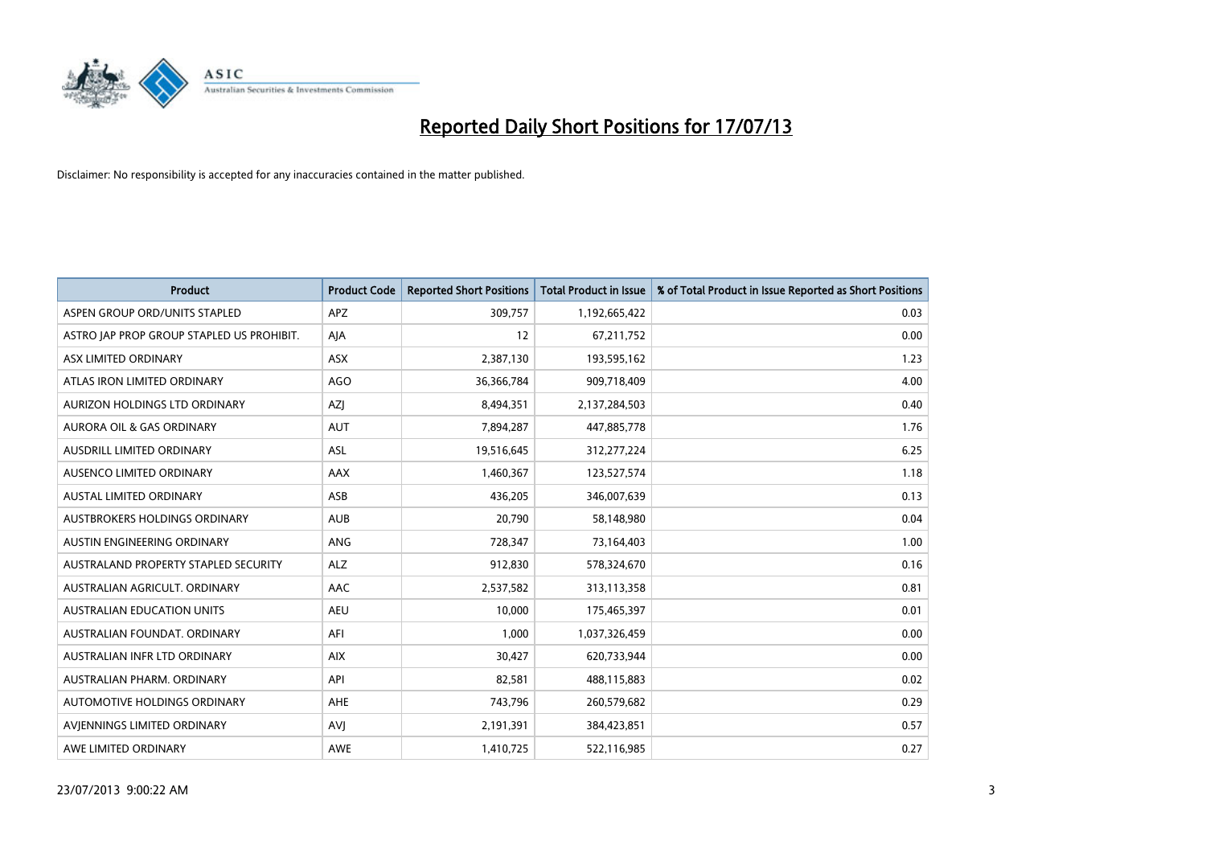

| Product                                   | <b>Product Code</b> | <b>Reported Short Positions</b> | <b>Total Product in Issue</b> | % of Total Product in Issue Reported as Short Positions |
|-------------------------------------------|---------------------|---------------------------------|-------------------------------|---------------------------------------------------------|
| ASPEN GROUP ORD/UNITS STAPLED             | <b>APZ</b>          | 309,757                         | 1,192,665,422                 | 0.03                                                    |
| ASTRO JAP PROP GROUP STAPLED US PROHIBIT. | AJA                 | 12                              | 67,211,752                    | 0.00                                                    |
| ASX LIMITED ORDINARY                      | <b>ASX</b>          | 2,387,130                       | 193,595,162                   | 1.23                                                    |
| ATLAS IRON LIMITED ORDINARY               | <b>AGO</b>          | 36,366,784                      | 909,718,409                   | 4.00                                                    |
| <b>AURIZON HOLDINGS LTD ORDINARY</b>      | <b>AZI</b>          | 8,494,351                       | 2,137,284,503                 | 0.40                                                    |
| <b>AURORA OIL &amp; GAS ORDINARY</b>      | <b>AUT</b>          | 7,894,287                       | 447,885,778                   | 1.76                                                    |
| AUSDRILL LIMITED ORDINARY                 | <b>ASL</b>          | 19,516,645                      | 312,277,224                   | 6.25                                                    |
| AUSENCO LIMITED ORDINARY                  | AAX                 | 1,460,367                       | 123,527,574                   | 1.18                                                    |
| <b>AUSTAL LIMITED ORDINARY</b>            | ASB                 | 436,205                         | 346,007,639                   | 0.13                                                    |
| <b>AUSTBROKERS HOLDINGS ORDINARY</b>      | <b>AUB</b>          | 20,790                          | 58,148,980                    | 0.04                                                    |
| AUSTIN ENGINEERING ORDINARY               | ANG                 | 728,347                         | 73,164,403                    | 1.00                                                    |
| AUSTRALAND PROPERTY STAPLED SECURITY      | <b>ALZ</b>          | 912,830                         | 578,324,670                   | 0.16                                                    |
| AUSTRALIAN AGRICULT. ORDINARY             | AAC                 | 2,537,582                       | 313,113,358                   | 0.81                                                    |
| AUSTRALIAN EDUCATION UNITS                | <b>AEU</b>          | 10,000                          | 175,465,397                   | 0.01                                                    |
| AUSTRALIAN FOUNDAT, ORDINARY              | AFI                 | 1,000                           | 1,037,326,459                 | 0.00                                                    |
| AUSTRALIAN INFR LTD ORDINARY              | <b>AIX</b>          | 30,427                          | 620,733,944                   | 0.00                                                    |
| AUSTRALIAN PHARM. ORDINARY                | API                 | 82,581                          | 488,115,883                   | 0.02                                                    |
| AUTOMOTIVE HOLDINGS ORDINARY              | AHE                 | 743,796                         | 260,579,682                   | 0.29                                                    |
| AVIENNINGS LIMITED ORDINARY               | <b>AVI</b>          | 2,191,391                       | 384,423,851                   | 0.57                                                    |
| AWE LIMITED ORDINARY                      | AWE                 | 1,410,725                       | 522,116,985                   | 0.27                                                    |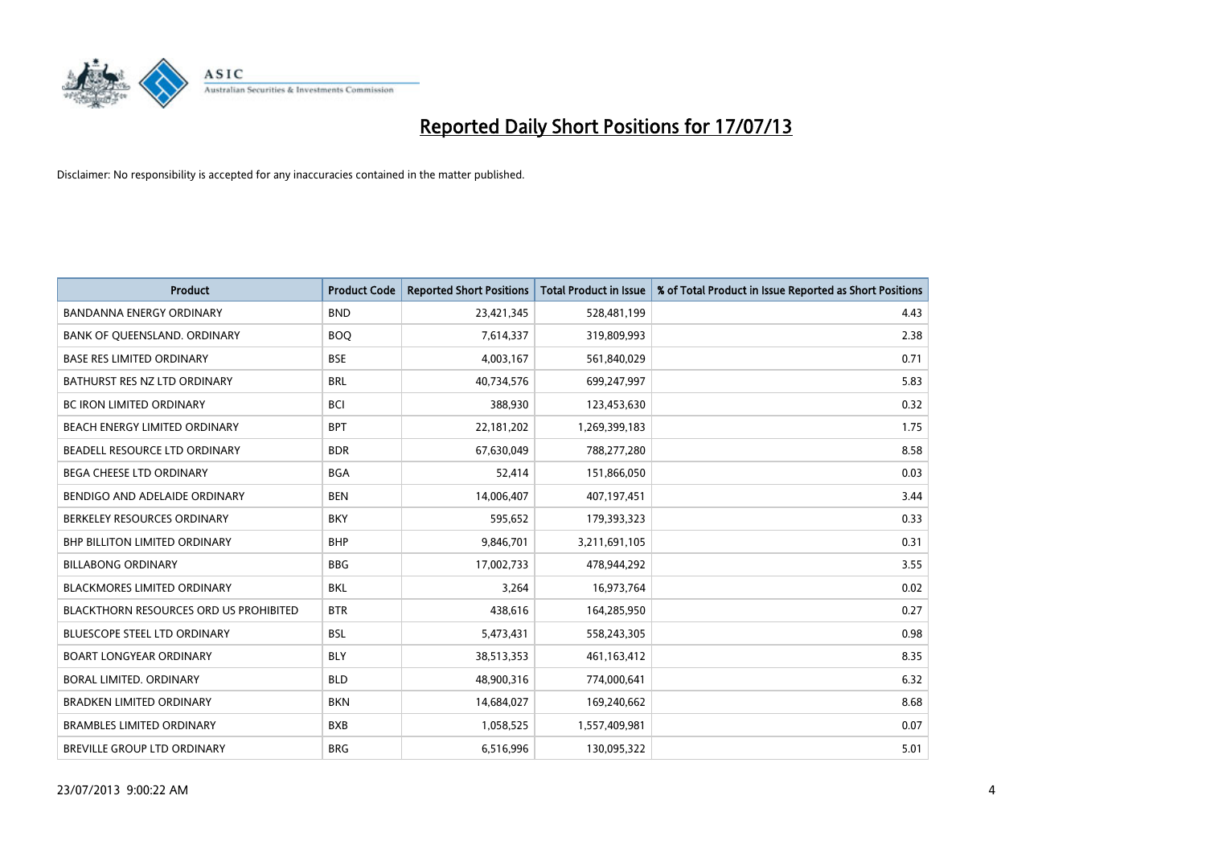

| <b>Product</b>                                | <b>Product Code</b> | <b>Reported Short Positions</b> | <b>Total Product in Issue</b> | % of Total Product in Issue Reported as Short Positions |
|-----------------------------------------------|---------------------|---------------------------------|-------------------------------|---------------------------------------------------------|
| <b>BANDANNA ENERGY ORDINARY</b>               | <b>BND</b>          | 23,421,345                      | 528,481,199                   | 4.43                                                    |
| BANK OF QUEENSLAND. ORDINARY                  | <b>BOO</b>          | 7,614,337                       | 319,809,993                   | 2.38                                                    |
| <b>BASE RES LIMITED ORDINARY</b>              | <b>BSE</b>          | 4,003,167                       | 561,840,029                   | 0.71                                                    |
| BATHURST RES NZ LTD ORDINARY                  | <b>BRL</b>          | 40,734,576                      | 699,247,997                   | 5.83                                                    |
| BC IRON LIMITED ORDINARY                      | <b>BCI</b>          | 388,930                         | 123,453,630                   | 0.32                                                    |
| BEACH ENERGY LIMITED ORDINARY                 | <b>BPT</b>          | 22,181,202                      | 1,269,399,183                 | 1.75                                                    |
| BEADELL RESOURCE LTD ORDINARY                 | <b>BDR</b>          | 67,630,049                      | 788,277,280                   | 8.58                                                    |
| <b>BEGA CHEESE LTD ORDINARY</b>               | <b>BGA</b>          | 52,414                          | 151,866,050                   | 0.03                                                    |
| BENDIGO AND ADELAIDE ORDINARY                 | <b>BEN</b>          | 14,006,407                      | 407,197,451                   | 3.44                                                    |
| BERKELEY RESOURCES ORDINARY                   | <b>BKY</b>          | 595,652                         | 179,393,323                   | 0.33                                                    |
| <b>BHP BILLITON LIMITED ORDINARY</b>          | <b>BHP</b>          | 9,846,701                       | 3,211,691,105                 | 0.31                                                    |
| <b>BILLABONG ORDINARY</b>                     | <b>BBG</b>          | 17,002,733                      | 478,944,292                   | 3.55                                                    |
| <b>BLACKMORES LIMITED ORDINARY</b>            | <b>BKL</b>          | 3,264                           | 16,973,764                    | 0.02                                                    |
| <b>BLACKTHORN RESOURCES ORD US PROHIBITED</b> | <b>BTR</b>          | 438,616                         | 164,285,950                   | 0.27                                                    |
| <b>BLUESCOPE STEEL LTD ORDINARY</b>           | <b>BSL</b>          | 5,473,431                       | 558,243,305                   | 0.98                                                    |
| <b>BOART LONGYEAR ORDINARY</b>                | <b>BLY</b>          | 38,513,353                      | 461,163,412                   | 8.35                                                    |
| BORAL LIMITED, ORDINARY                       | <b>BLD</b>          | 48,900,316                      | 774,000,641                   | 6.32                                                    |
| <b>BRADKEN LIMITED ORDINARY</b>               | <b>BKN</b>          | 14,684,027                      | 169,240,662                   | 8.68                                                    |
| <b>BRAMBLES LIMITED ORDINARY</b>              | <b>BXB</b>          | 1,058,525                       | 1,557,409,981                 | 0.07                                                    |
| <b>BREVILLE GROUP LTD ORDINARY</b>            | <b>BRG</b>          | 6,516,996                       | 130,095,322                   | 5.01                                                    |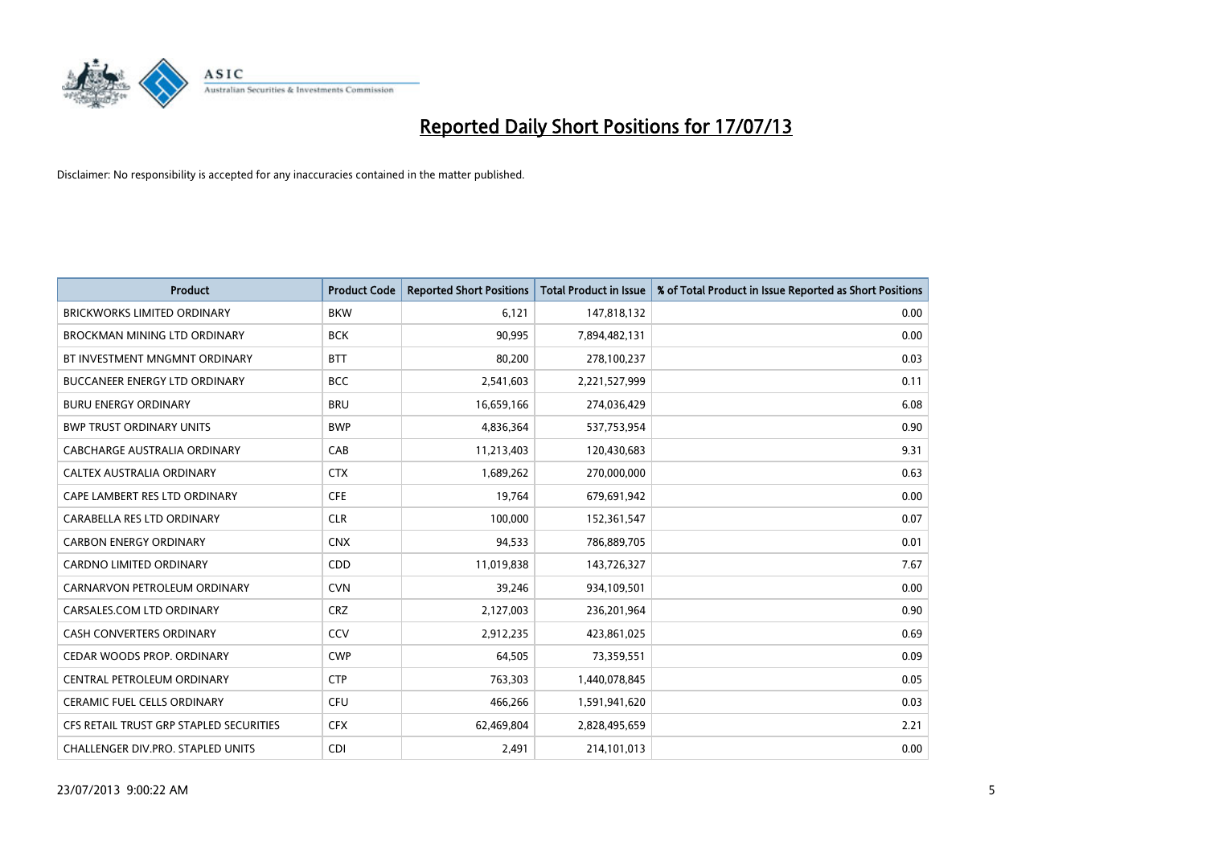

| <b>Product</b>                          | <b>Product Code</b> | <b>Reported Short Positions</b> | <b>Total Product in Issue</b> | % of Total Product in Issue Reported as Short Positions |
|-----------------------------------------|---------------------|---------------------------------|-------------------------------|---------------------------------------------------------|
| <b>BRICKWORKS LIMITED ORDINARY</b>      | <b>BKW</b>          | 6,121                           | 147,818,132                   | 0.00                                                    |
| BROCKMAN MINING LTD ORDINARY            | <b>BCK</b>          | 90,995                          | 7,894,482,131                 | 0.00                                                    |
| BT INVESTMENT MNGMNT ORDINARY           | <b>BTT</b>          | 80,200                          | 278,100,237                   | 0.03                                                    |
| <b>BUCCANEER ENERGY LTD ORDINARY</b>    | <b>BCC</b>          | 2,541,603                       | 2,221,527,999                 | 0.11                                                    |
| <b>BURU ENERGY ORDINARY</b>             | <b>BRU</b>          | 16,659,166                      | 274,036,429                   | 6.08                                                    |
| <b>BWP TRUST ORDINARY UNITS</b>         | <b>BWP</b>          | 4,836,364                       | 537,753,954                   | 0.90                                                    |
| <b>CABCHARGE AUSTRALIA ORDINARY</b>     | CAB                 | 11,213,403                      | 120,430,683                   | 9.31                                                    |
| <b>CALTEX AUSTRALIA ORDINARY</b>        | <b>CTX</b>          | 1,689,262                       | 270,000,000                   | 0.63                                                    |
| CAPE LAMBERT RES LTD ORDINARY           | <b>CFE</b>          | 19,764                          | 679,691,942                   | 0.00                                                    |
| CARABELLA RES LTD ORDINARY              | <b>CLR</b>          | 100,000                         | 152,361,547                   | 0.07                                                    |
| <b>CARBON ENERGY ORDINARY</b>           | <b>CNX</b>          | 94,533                          | 786,889,705                   | 0.01                                                    |
| <b>CARDNO LIMITED ORDINARY</b>          | <b>CDD</b>          | 11,019,838                      | 143,726,327                   | 7.67                                                    |
| CARNARVON PETROLEUM ORDINARY            | <b>CVN</b>          | 39,246                          | 934,109,501                   | 0.00                                                    |
| CARSALES.COM LTD ORDINARY               | <b>CRZ</b>          | 2,127,003                       | 236,201,964                   | 0.90                                                    |
| <b>CASH CONVERTERS ORDINARY</b>         | CCV                 | 2,912,235                       | 423,861,025                   | 0.69                                                    |
| CEDAR WOODS PROP. ORDINARY              | <b>CWP</b>          | 64,505                          | 73,359,551                    | 0.09                                                    |
| CENTRAL PETROLEUM ORDINARY              | <b>CTP</b>          | 763,303                         | 1,440,078,845                 | 0.05                                                    |
| <b>CERAMIC FUEL CELLS ORDINARY</b>      | <b>CFU</b>          | 466,266                         | 1,591,941,620                 | 0.03                                                    |
| CFS RETAIL TRUST GRP STAPLED SECURITIES | <b>CFX</b>          | 62,469,804                      | 2,828,495,659                 | 2.21                                                    |
| CHALLENGER DIV.PRO. STAPLED UNITS       | <b>CDI</b>          | 2,491                           | 214,101,013                   | 0.00                                                    |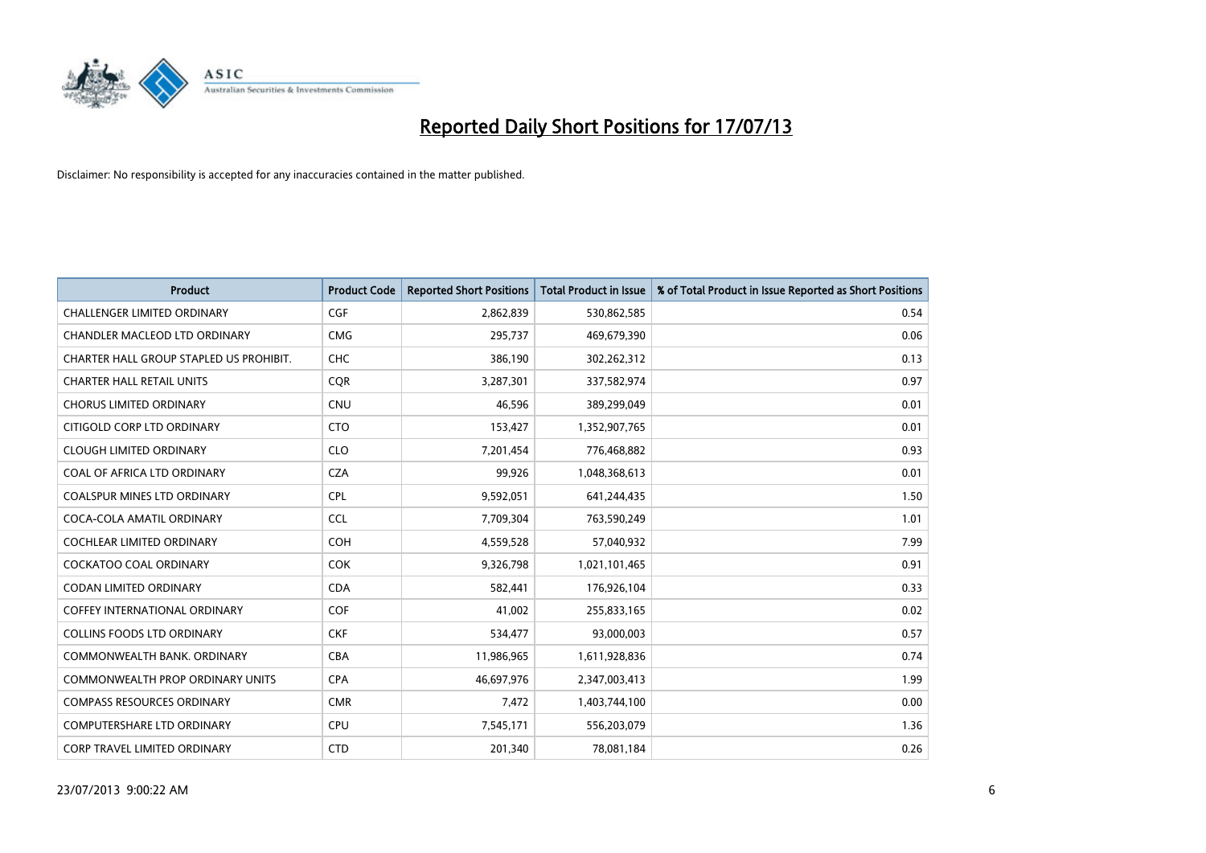

| Product                                 | <b>Product Code</b> | <b>Reported Short Positions</b> | <b>Total Product in Issue</b> | % of Total Product in Issue Reported as Short Positions |
|-----------------------------------------|---------------------|---------------------------------|-------------------------------|---------------------------------------------------------|
| <b>CHALLENGER LIMITED ORDINARY</b>      | <b>CGF</b>          | 2,862,839                       | 530,862,585                   | 0.54                                                    |
| CHANDLER MACLEOD LTD ORDINARY           | <b>CMG</b>          | 295,737                         | 469,679,390                   | 0.06                                                    |
| CHARTER HALL GROUP STAPLED US PROHIBIT. | <b>CHC</b>          | 386,190                         | 302,262,312                   | 0.13                                                    |
| <b>CHARTER HALL RETAIL UNITS</b>        | <b>CQR</b>          | 3,287,301                       | 337,582,974                   | 0.97                                                    |
| <b>CHORUS LIMITED ORDINARY</b>          | <b>CNU</b>          | 46,596                          | 389,299,049                   | 0.01                                                    |
| CITIGOLD CORP LTD ORDINARY              | <b>CTO</b>          | 153,427                         | 1,352,907,765                 | 0.01                                                    |
| <b>CLOUGH LIMITED ORDINARY</b>          | <b>CLO</b>          | 7,201,454                       | 776,468,882                   | 0.93                                                    |
| COAL OF AFRICA LTD ORDINARY             | <b>CZA</b>          | 99,926                          | 1,048,368,613                 | 0.01                                                    |
| <b>COALSPUR MINES LTD ORDINARY</b>      | <b>CPL</b>          | 9,592,051                       | 641,244,435                   | 1.50                                                    |
| COCA-COLA AMATIL ORDINARY               | <b>CCL</b>          | 7,709,304                       | 763,590,249                   | 1.01                                                    |
| COCHLEAR LIMITED ORDINARY               | <b>COH</b>          | 4,559,528                       | 57,040,932                    | 7.99                                                    |
| COCKATOO COAL ORDINARY                  | <b>COK</b>          | 9,326,798                       | 1,021,101,465                 | 0.91                                                    |
| <b>CODAN LIMITED ORDINARY</b>           | <b>CDA</b>          | 582,441                         | 176,926,104                   | 0.33                                                    |
| <b>COFFEY INTERNATIONAL ORDINARY</b>    | <b>COF</b>          | 41,002                          | 255,833,165                   | 0.02                                                    |
| <b>COLLINS FOODS LTD ORDINARY</b>       | <b>CKF</b>          | 534,477                         | 93,000,003                    | 0.57                                                    |
| COMMONWEALTH BANK, ORDINARY             | <b>CBA</b>          | 11,986,965                      | 1,611,928,836                 | 0.74                                                    |
| COMMONWEALTH PROP ORDINARY UNITS        | <b>CPA</b>          | 46,697,976                      | 2,347,003,413                 | 1.99                                                    |
| <b>COMPASS RESOURCES ORDINARY</b>       | <b>CMR</b>          | 7,472                           | 1,403,744,100                 | 0.00                                                    |
| <b>COMPUTERSHARE LTD ORDINARY</b>       | <b>CPU</b>          | 7,545,171                       | 556,203,079                   | 1.36                                                    |
| <b>CORP TRAVEL LIMITED ORDINARY</b>     | <b>CTD</b>          | 201,340                         | 78,081,184                    | 0.26                                                    |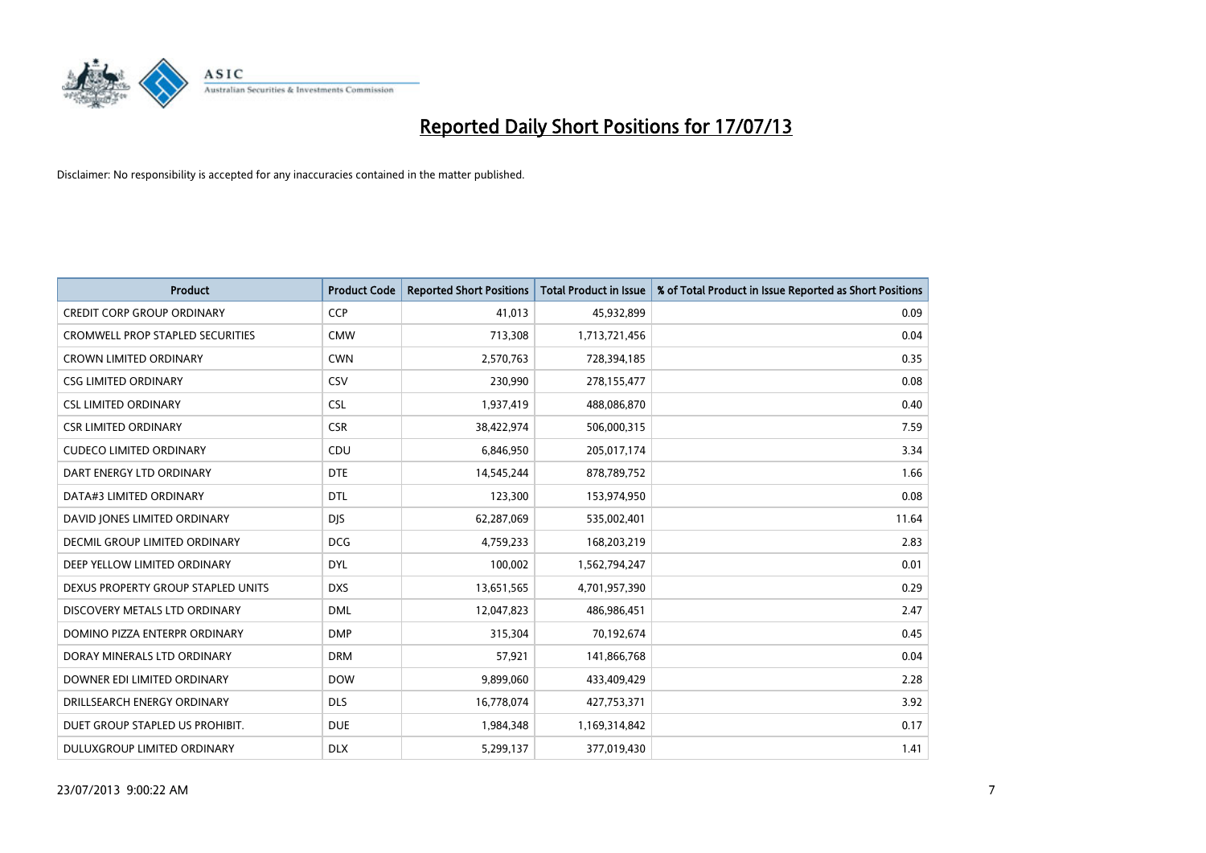

| <b>Product</b>                     | <b>Product Code</b> | <b>Reported Short Positions</b> | <b>Total Product in Issue</b> | % of Total Product in Issue Reported as Short Positions |
|------------------------------------|---------------------|---------------------------------|-------------------------------|---------------------------------------------------------|
| <b>CREDIT CORP GROUP ORDINARY</b>  | <b>CCP</b>          | 41,013                          | 45,932,899                    | 0.09                                                    |
| CROMWELL PROP STAPLED SECURITIES   | <b>CMW</b>          | 713,308                         | 1,713,721,456                 | 0.04                                                    |
| <b>CROWN LIMITED ORDINARY</b>      | <b>CWN</b>          | 2,570,763                       | 728,394,185                   | 0.35                                                    |
| <b>CSG LIMITED ORDINARY</b>        | CSV                 | 230,990                         | 278,155,477                   | 0.08                                                    |
| <b>CSL LIMITED ORDINARY</b>        | <b>CSL</b>          | 1,937,419                       | 488,086,870                   | 0.40                                                    |
| <b>CSR LIMITED ORDINARY</b>        | <b>CSR</b>          | 38,422,974                      | 506,000,315                   | 7.59                                                    |
| <b>CUDECO LIMITED ORDINARY</b>     | <b>CDU</b>          | 6,846,950                       | 205,017,174                   | 3.34                                                    |
| DART ENERGY LTD ORDINARY           | <b>DTE</b>          | 14,545,244                      | 878,789,752                   | 1.66                                                    |
| DATA#3 LIMITED ORDINARY            | <b>DTL</b>          | 123,300                         | 153,974,950                   | 0.08                                                    |
| DAVID JONES LIMITED ORDINARY       | <b>DIS</b>          | 62,287,069                      | 535,002,401                   | 11.64                                                   |
| DECMIL GROUP LIMITED ORDINARY      | <b>DCG</b>          | 4,759,233                       | 168,203,219                   | 2.83                                                    |
| DEEP YELLOW LIMITED ORDINARY       | <b>DYL</b>          | 100,002                         | 1,562,794,247                 | 0.01                                                    |
| DEXUS PROPERTY GROUP STAPLED UNITS | <b>DXS</b>          | 13,651,565                      | 4,701,957,390                 | 0.29                                                    |
| DISCOVERY METALS LTD ORDINARY      | <b>DML</b>          | 12,047,823                      | 486,986,451                   | 2.47                                                    |
| DOMINO PIZZA ENTERPR ORDINARY      | <b>DMP</b>          | 315,304                         | 70,192,674                    | 0.45                                                    |
| DORAY MINERALS LTD ORDINARY        | <b>DRM</b>          | 57,921                          | 141,866,768                   | 0.04                                                    |
| DOWNER EDI LIMITED ORDINARY        | <b>DOW</b>          | 9,899,060                       | 433,409,429                   | 2.28                                                    |
| DRILLSEARCH ENERGY ORDINARY        | <b>DLS</b>          | 16,778,074                      | 427,753,371                   | 3.92                                                    |
| DUET GROUP STAPLED US PROHIBIT.    | <b>DUE</b>          | 1,984,348                       | 1,169,314,842                 | 0.17                                                    |
| DULUXGROUP LIMITED ORDINARY        | <b>DLX</b>          | 5,299,137                       | 377,019,430                   | 1.41                                                    |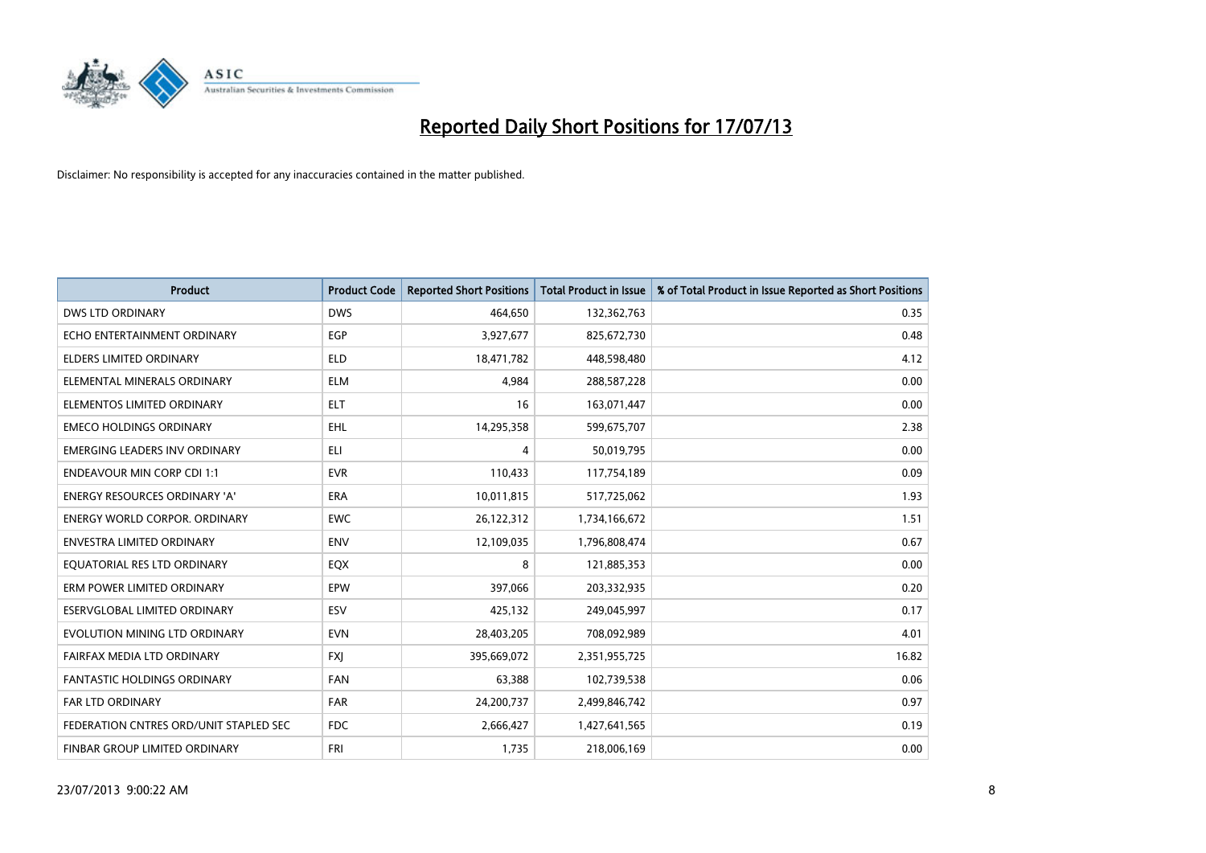

| <b>Product</b>                         | <b>Product Code</b> | <b>Reported Short Positions</b> | <b>Total Product in Issue</b> | % of Total Product in Issue Reported as Short Positions |
|----------------------------------------|---------------------|---------------------------------|-------------------------------|---------------------------------------------------------|
| <b>DWS LTD ORDINARY</b>                | <b>DWS</b>          | 464,650                         | 132,362,763                   | 0.35                                                    |
| ECHO ENTERTAINMENT ORDINARY            | <b>EGP</b>          | 3,927,677                       | 825,672,730                   | 0.48                                                    |
| ELDERS LIMITED ORDINARY                | ELD                 | 18,471,782                      | 448,598,480                   | 4.12                                                    |
| ELEMENTAL MINERALS ORDINARY            | <b>ELM</b>          | 4,984                           | 288,587,228                   | 0.00                                                    |
| ELEMENTOS LIMITED ORDINARY             | <b>ELT</b>          | 16                              | 163,071,447                   | 0.00                                                    |
| <b>EMECO HOLDINGS ORDINARY</b>         | <b>EHL</b>          | 14,295,358                      | 599,675,707                   | 2.38                                                    |
| <b>EMERGING LEADERS INV ORDINARY</b>   | ELI                 | 4                               | 50,019,795                    | 0.00                                                    |
| <b>ENDEAVOUR MIN CORP CDI 1:1</b>      | <b>EVR</b>          | 110,433                         | 117,754,189                   | 0.09                                                    |
| <b>ENERGY RESOURCES ORDINARY 'A'</b>   | <b>ERA</b>          | 10,011,815                      | 517,725,062                   | 1.93                                                    |
| <b>ENERGY WORLD CORPOR, ORDINARY</b>   | <b>EWC</b>          | 26,122,312                      | 1,734,166,672                 | 1.51                                                    |
| ENVESTRA LIMITED ORDINARY              | <b>ENV</b>          | 12,109,035                      | 1,796,808,474                 | 0.67                                                    |
| EQUATORIAL RES LTD ORDINARY            | EQX                 | 8                               | 121,885,353                   | 0.00                                                    |
| ERM POWER LIMITED ORDINARY             | <b>EPW</b>          | 397,066                         | 203,332,935                   | 0.20                                                    |
| ESERVGLOBAL LIMITED ORDINARY           | ESV                 | 425,132                         | 249,045,997                   | 0.17                                                    |
| EVOLUTION MINING LTD ORDINARY          | <b>EVN</b>          | 28,403,205                      | 708,092,989                   | 4.01                                                    |
| FAIRFAX MEDIA LTD ORDINARY             | <b>FXJ</b>          | 395,669,072                     | 2,351,955,725                 | 16.82                                                   |
| <b>FANTASTIC HOLDINGS ORDINARY</b>     | <b>FAN</b>          | 63,388                          | 102,739,538                   | 0.06                                                    |
| <b>FAR LTD ORDINARY</b>                | <b>FAR</b>          | 24,200,737                      | 2,499,846,742                 | 0.97                                                    |
| FEDERATION CNTRES ORD/UNIT STAPLED SEC | FDC                 | 2,666,427                       | 1,427,641,565                 | 0.19                                                    |
| FINBAR GROUP LIMITED ORDINARY          | <b>FRI</b>          | 1,735                           | 218,006,169                   | 0.00                                                    |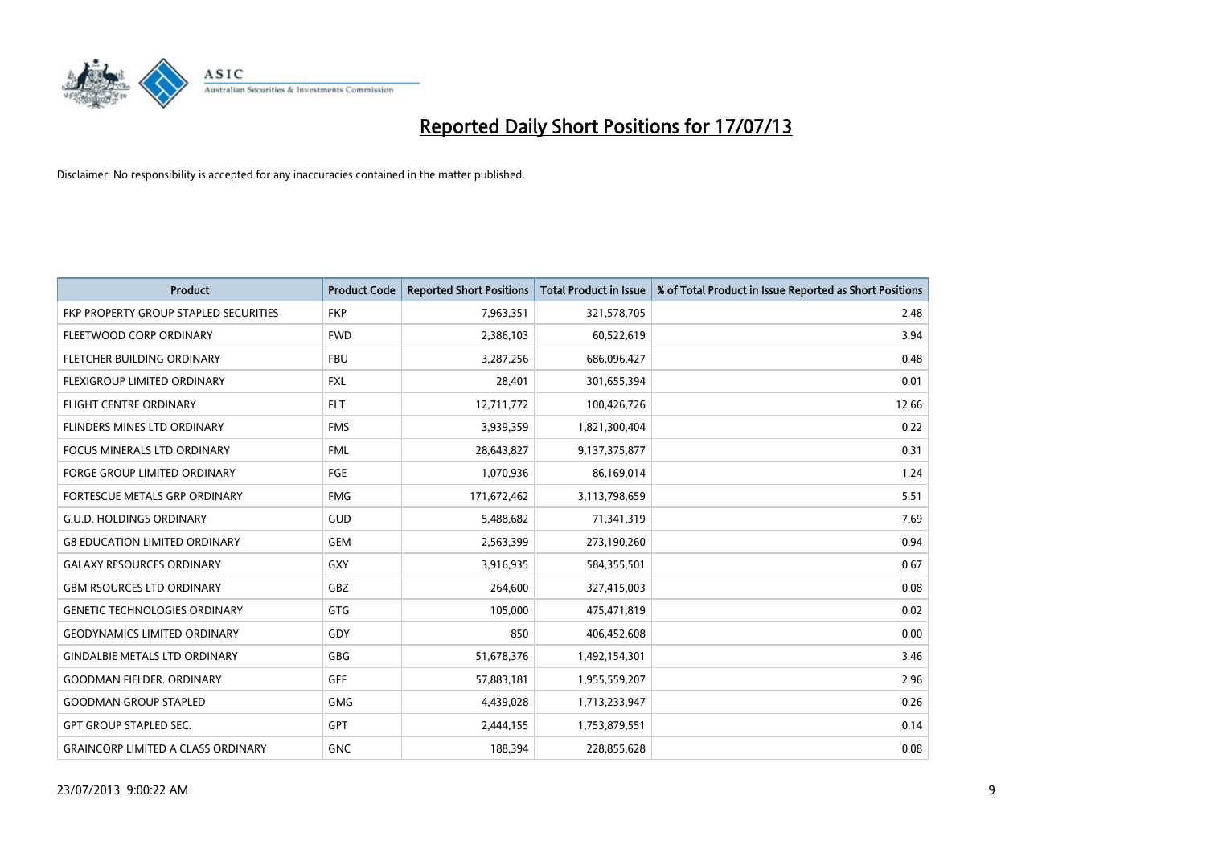

| <b>Product</b>                            | <b>Product Code</b> | <b>Reported Short Positions</b> | <b>Total Product in Issue</b> | % of Total Product in Issue Reported as Short Positions |
|-------------------------------------------|---------------------|---------------------------------|-------------------------------|---------------------------------------------------------|
| FKP PROPERTY GROUP STAPLED SECURITIES     | <b>FKP</b>          | 7,963,351                       | 321,578,705                   | 2.48                                                    |
| FLEETWOOD CORP ORDINARY                   | <b>FWD</b>          | 2,386,103                       | 60,522,619                    | 3.94                                                    |
| FLETCHER BUILDING ORDINARY                | <b>FBU</b>          | 3,287,256                       | 686,096,427                   | 0.48                                                    |
| FLEXIGROUP LIMITED ORDINARY               | <b>FXL</b>          | 28,401                          | 301,655,394                   | 0.01                                                    |
| <b>FLIGHT CENTRE ORDINARY</b>             | <b>FLT</b>          | 12,711,772                      | 100,426,726                   | 12.66                                                   |
| FLINDERS MINES LTD ORDINARY               | <b>FMS</b>          | 3,939,359                       | 1,821,300,404                 | 0.22                                                    |
| <b>FOCUS MINERALS LTD ORDINARY</b>        | <b>FML</b>          | 28,643,827                      | 9,137,375,877                 | 0.31                                                    |
| FORGE GROUP LIMITED ORDINARY              | FGE                 | 1,070,936                       | 86,169,014                    | 1.24                                                    |
| FORTESCUE METALS GRP ORDINARY             | <b>FMG</b>          | 171,672,462                     | 3,113,798,659                 | 5.51                                                    |
| <b>G.U.D. HOLDINGS ORDINARY</b>           | GUD                 | 5,488,682                       | 71,341,319                    | 7.69                                                    |
| <b>G8 EDUCATION LIMITED ORDINARY</b>      | <b>GEM</b>          | 2,563,399                       | 273,190,260                   | 0.94                                                    |
| <b>GALAXY RESOURCES ORDINARY</b>          | GXY                 | 3,916,935                       | 584,355,501                   | 0.67                                                    |
| <b>GBM RSOURCES LTD ORDINARY</b>          | GBZ                 | 264,600                         | 327,415,003                   | 0.08                                                    |
| <b>GENETIC TECHNOLOGIES ORDINARY</b>      | GTG                 | 105.000                         | 475,471,819                   | 0.02                                                    |
| <b>GEODYNAMICS LIMITED ORDINARY</b>       | GDY                 | 850                             | 406,452,608                   | 0.00                                                    |
| <b>GINDALBIE METALS LTD ORDINARY</b>      | GBG                 | 51,678,376                      | 1,492,154,301                 | 3.46                                                    |
| <b>GOODMAN FIELDER, ORDINARY</b>          | <b>GFF</b>          | 57,883,181                      | 1,955,559,207                 | 2.96                                                    |
| <b>GOODMAN GROUP STAPLED</b>              | <b>GMG</b>          | 4,439,028                       | 1,713,233,947                 | 0.26                                                    |
| <b>GPT GROUP STAPLED SEC.</b>             | <b>GPT</b>          | 2,444,155                       | 1,753,879,551                 | 0.14                                                    |
| <b>GRAINCORP LIMITED A CLASS ORDINARY</b> | <b>GNC</b>          | 188,394                         | 228,855,628                   | 0.08                                                    |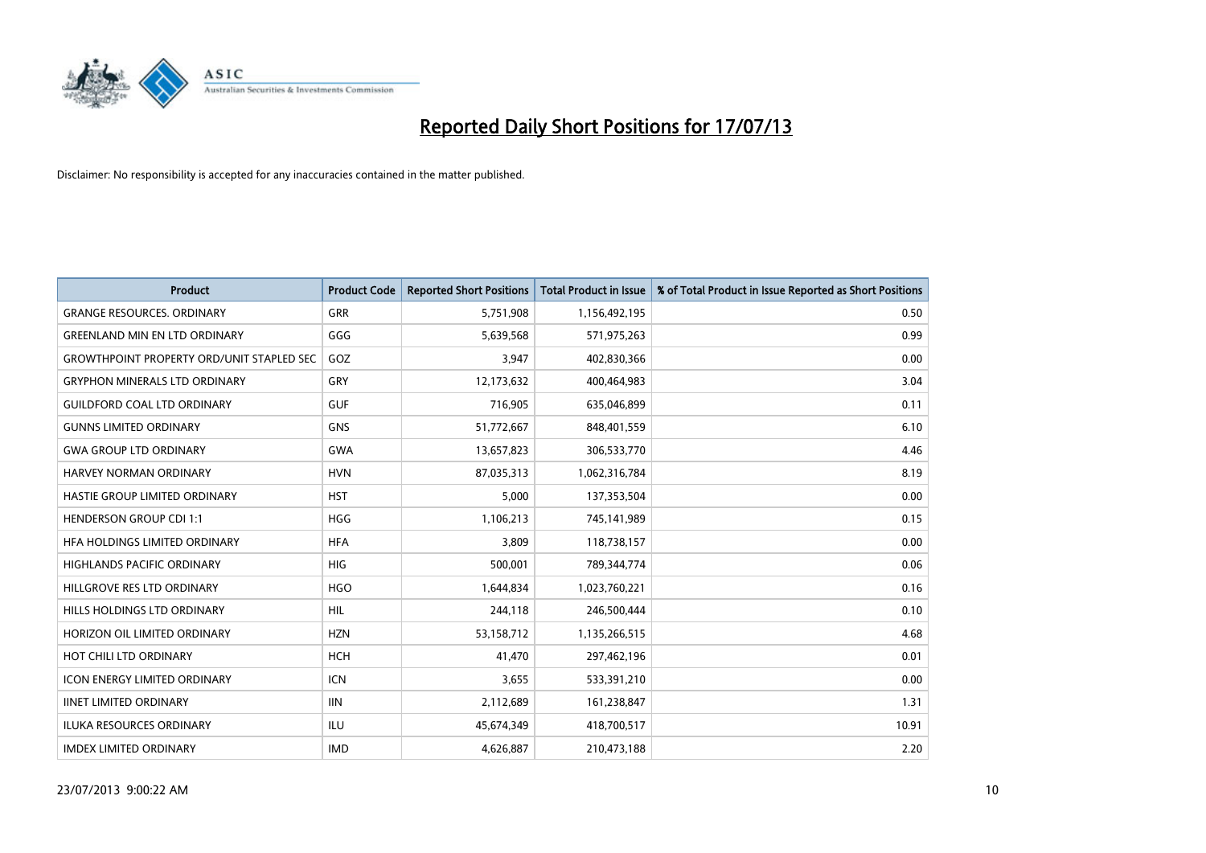

| <b>Product</b>                                   | <b>Product Code</b> | <b>Reported Short Positions</b> | <b>Total Product in Issue</b> | % of Total Product in Issue Reported as Short Positions |
|--------------------------------------------------|---------------------|---------------------------------|-------------------------------|---------------------------------------------------------|
| <b>GRANGE RESOURCES, ORDINARY</b>                | GRR                 | 5,751,908                       | 1,156,492,195                 | 0.50                                                    |
| <b>GREENLAND MIN EN LTD ORDINARY</b>             | GGG                 | 5,639,568                       | 571,975,263                   | 0.99                                                    |
| <b>GROWTHPOINT PROPERTY ORD/UNIT STAPLED SEC</b> | GOZ                 | 3,947                           | 402,830,366                   | 0.00                                                    |
| <b>GRYPHON MINERALS LTD ORDINARY</b>             | GRY                 | 12,173,632                      | 400,464,983                   | 3.04                                                    |
| <b>GUILDFORD COAL LTD ORDINARY</b>               | <b>GUF</b>          | 716,905                         | 635,046,899                   | 0.11                                                    |
| <b>GUNNS LIMITED ORDINARY</b>                    | <b>GNS</b>          | 51,772,667                      | 848,401,559                   | 6.10                                                    |
| <b>GWA GROUP LTD ORDINARY</b>                    | <b>GWA</b>          | 13,657,823                      | 306,533,770                   | 4.46                                                    |
| HARVEY NORMAN ORDINARY                           | <b>HVN</b>          | 87,035,313                      | 1,062,316,784                 | 8.19                                                    |
| HASTIE GROUP LIMITED ORDINARY                    | <b>HST</b>          | 5,000                           | 137,353,504                   | 0.00                                                    |
| <b>HENDERSON GROUP CDI 1:1</b>                   | <b>HGG</b>          | 1,106,213                       | 745,141,989                   | 0.15                                                    |
| HEA HOLDINGS LIMITED ORDINARY                    | <b>HFA</b>          | 3,809                           | 118,738,157                   | 0.00                                                    |
| <b>HIGHLANDS PACIFIC ORDINARY</b>                | HIG                 | 500,001                         | 789,344,774                   | 0.06                                                    |
| HILLGROVE RES LTD ORDINARY                       | <b>HGO</b>          | 1,644,834                       | 1,023,760,221                 | 0.16                                                    |
| HILLS HOLDINGS LTD ORDINARY                      | <b>HIL</b>          | 244,118                         | 246,500,444                   | 0.10                                                    |
| HORIZON OIL LIMITED ORDINARY                     | <b>HZN</b>          | 53,158,712                      | 1,135,266,515                 | 4.68                                                    |
| HOT CHILI LTD ORDINARY                           | <b>HCH</b>          | 41,470                          | 297,462,196                   | 0.01                                                    |
| ICON ENERGY LIMITED ORDINARY                     | <b>ICN</b>          | 3,655                           | 533,391,210                   | 0.00                                                    |
| <b>IINET LIMITED ORDINARY</b>                    | <b>IIN</b>          | 2,112,689                       | 161,238,847                   | 1.31                                                    |
| <b>ILUKA RESOURCES ORDINARY</b>                  | ILU                 | 45,674,349                      | 418,700,517                   | 10.91                                                   |
| <b>IMDEX LIMITED ORDINARY</b>                    | <b>IMD</b>          | 4,626,887                       | 210,473,188                   | 2.20                                                    |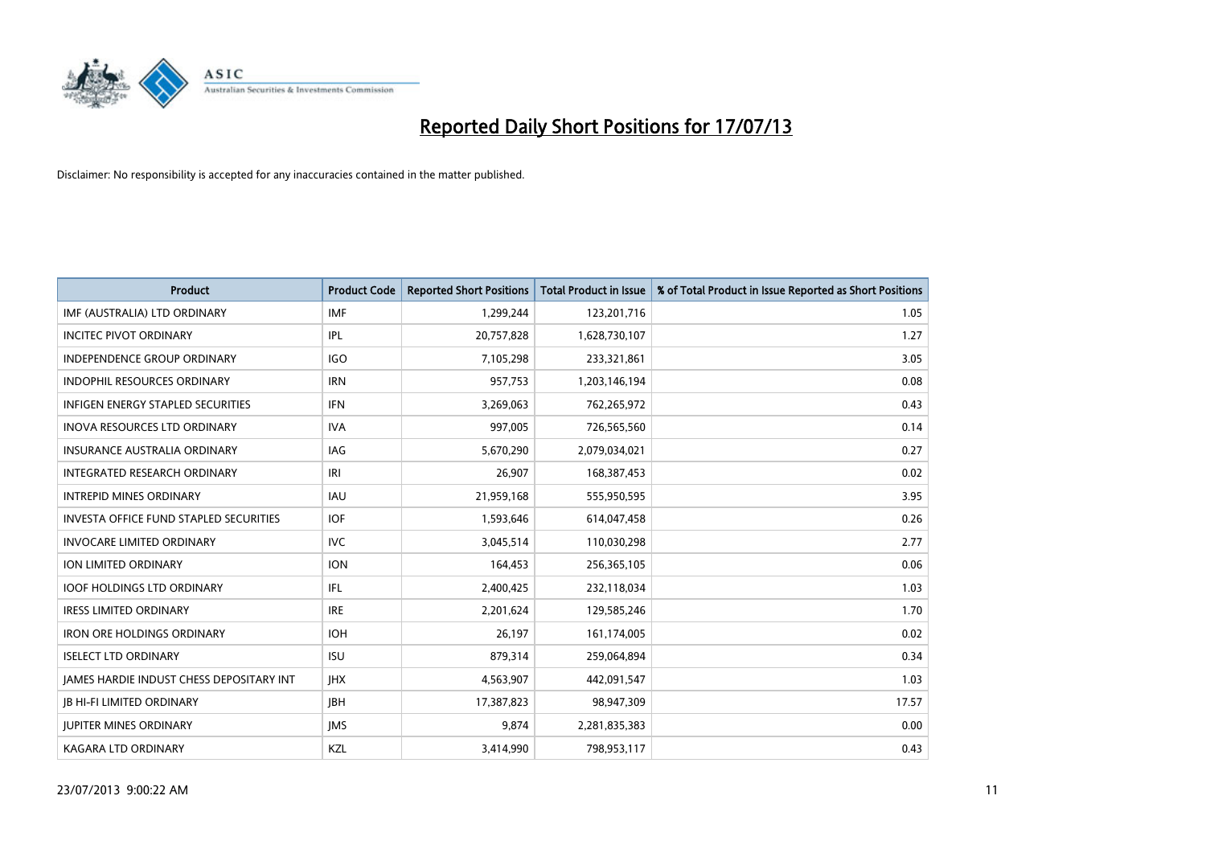

| <b>Product</b>                                  | <b>Product Code</b> | <b>Reported Short Positions</b> | <b>Total Product in Issue</b> | % of Total Product in Issue Reported as Short Positions |
|-------------------------------------------------|---------------------|---------------------------------|-------------------------------|---------------------------------------------------------|
| IMF (AUSTRALIA) LTD ORDINARY                    | <b>IMF</b>          | 1,299,244                       | 123,201,716                   | 1.05                                                    |
| <b>INCITEC PIVOT ORDINARY</b>                   | IPL                 | 20,757,828                      | 1,628,730,107                 | 1.27                                                    |
| <b>INDEPENDENCE GROUP ORDINARY</b>              | <b>IGO</b>          | 7,105,298                       | 233,321,861                   | 3.05                                                    |
| INDOPHIL RESOURCES ORDINARY                     | <b>IRN</b>          | 957,753                         | 1,203,146,194                 | 0.08                                                    |
| <b>INFIGEN ENERGY STAPLED SECURITIES</b>        | <b>IFN</b>          | 3,269,063                       | 762,265,972                   | 0.43                                                    |
| <b>INOVA RESOURCES LTD ORDINARY</b>             | <b>IVA</b>          | 997,005                         | 726,565,560                   | 0.14                                                    |
| <b>INSURANCE AUSTRALIA ORDINARY</b>             | IAG                 | 5,670,290                       | 2,079,034,021                 | 0.27                                                    |
| INTEGRATED RESEARCH ORDINARY                    | IRI                 | 26,907                          | 168,387,453                   | 0.02                                                    |
| <b>INTREPID MINES ORDINARY</b>                  | <b>IAU</b>          | 21,959,168                      | 555,950,595                   | 3.95                                                    |
| INVESTA OFFICE FUND STAPLED SECURITIES          | <b>IOF</b>          | 1,593,646                       | 614,047,458                   | 0.26                                                    |
| <b>INVOCARE LIMITED ORDINARY</b>                | <b>IVC</b>          | 3,045,514                       | 110,030,298                   | 2.77                                                    |
| ION LIMITED ORDINARY                            | <b>ION</b>          | 164,453                         | 256,365,105                   | 0.06                                                    |
| <b>IOOF HOLDINGS LTD ORDINARY</b>               | IFL                 | 2,400,425                       | 232,118,034                   | 1.03                                                    |
| <b>IRESS LIMITED ORDINARY</b>                   | <b>IRE</b>          | 2,201,624                       | 129,585,246                   | 1.70                                                    |
| <b>IRON ORE HOLDINGS ORDINARY</b>               | <b>IOH</b>          | 26,197                          | 161,174,005                   | 0.02                                                    |
| <b>ISELECT LTD ORDINARY</b>                     | <b>ISU</b>          | 879,314                         | 259,064,894                   | 0.34                                                    |
| <b>JAMES HARDIE INDUST CHESS DEPOSITARY INT</b> | <b>IHX</b>          | 4,563,907                       | 442,091,547                   | 1.03                                                    |
| <b>JB HI-FI LIMITED ORDINARY</b>                | JBH                 | 17,387,823                      | 98,947,309                    | 17.57                                                   |
| <b>IUPITER MINES ORDINARY</b>                   | <b>IMS</b>          | 9,874                           | 2,281,835,383                 | 0.00                                                    |
| <b>KAGARA LTD ORDINARY</b>                      | KZL                 | 3,414,990                       | 798,953,117                   | 0.43                                                    |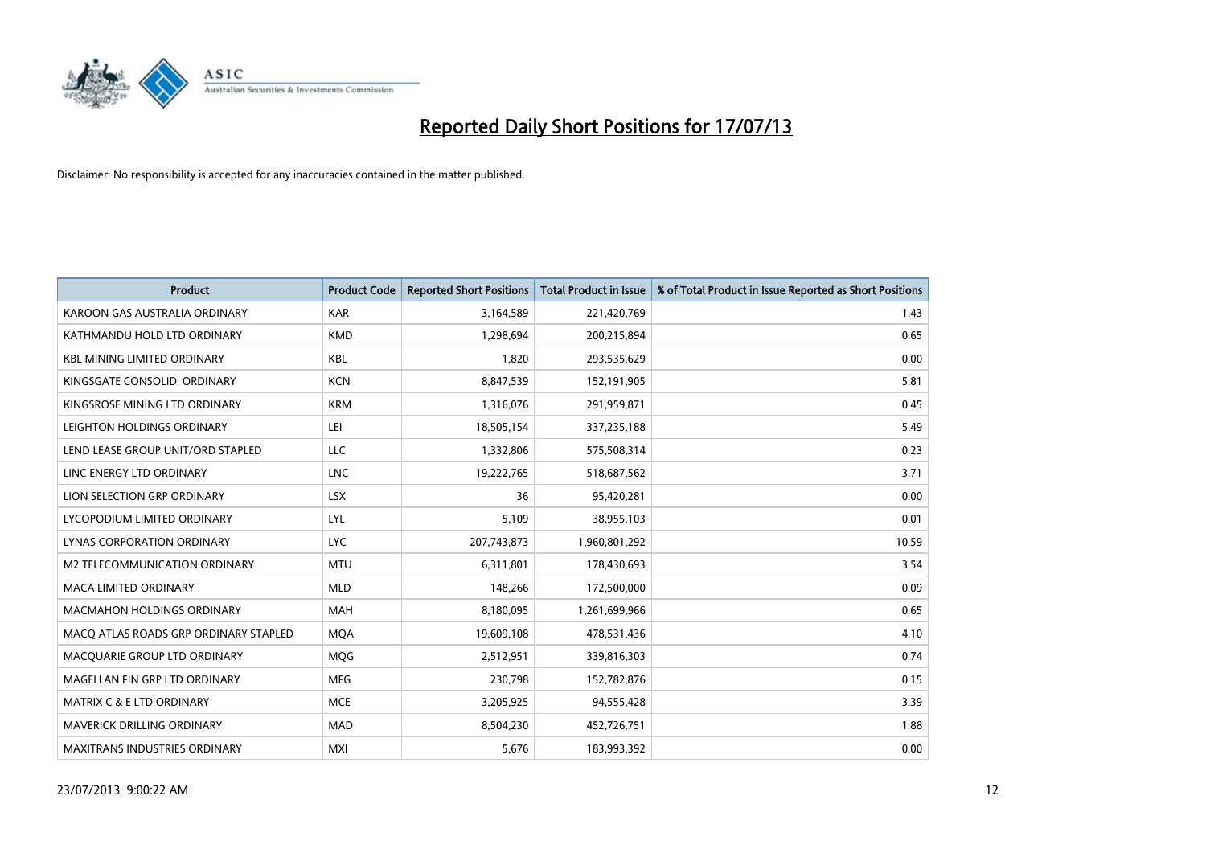

| <b>Product</b>                        | <b>Product Code</b> | <b>Reported Short Positions</b> | <b>Total Product in Issue</b> | % of Total Product in Issue Reported as Short Positions |
|---------------------------------------|---------------------|---------------------------------|-------------------------------|---------------------------------------------------------|
| KAROON GAS AUSTRALIA ORDINARY         | <b>KAR</b>          | 3,164,589                       | 221,420,769                   | 1.43                                                    |
| KATHMANDU HOLD LTD ORDINARY           | <b>KMD</b>          | 1,298,694                       | 200,215,894                   | 0.65                                                    |
| <b>KBL MINING LIMITED ORDINARY</b>    | <b>KBL</b>          | 1,820                           | 293,535,629                   | 0.00                                                    |
| KINGSGATE CONSOLID, ORDINARY          | <b>KCN</b>          | 8,847,539                       | 152,191,905                   | 5.81                                                    |
| KINGSROSE MINING LTD ORDINARY         | <b>KRM</b>          | 1,316,076                       | 291,959,871                   | 0.45                                                    |
| LEIGHTON HOLDINGS ORDINARY            | LEI                 | 18,505,154                      | 337,235,188                   | 5.49                                                    |
| LEND LEASE GROUP UNIT/ORD STAPLED     | LLC                 | 1,332,806                       | 575,508,314                   | 0.23                                                    |
| LINC ENERGY LTD ORDINARY              | <b>LNC</b>          | 19,222,765                      | 518,687,562                   | 3.71                                                    |
| LION SELECTION GRP ORDINARY           | <b>LSX</b>          | 36                              | 95,420,281                    | 0.00                                                    |
| LYCOPODIUM LIMITED ORDINARY           | LYL                 | 5,109                           | 38,955,103                    | 0.01                                                    |
| LYNAS CORPORATION ORDINARY            | LYC.                | 207,743,873                     | 1,960,801,292                 | 10.59                                                   |
| M2 TELECOMMUNICATION ORDINARY         | <b>MTU</b>          | 6,311,801                       | 178,430,693                   | 3.54                                                    |
| MACA LIMITED ORDINARY                 | <b>MLD</b>          | 148,266                         | 172,500,000                   | 0.09                                                    |
| <b>MACMAHON HOLDINGS ORDINARY</b>     | <b>MAH</b>          | 8,180,095                       | 1,261,699,966                 | 0.65                                                    |
| MACO ATLAS ROADS GRP ORDINARY STAPLED | <b>MQA</b>          | 19,609,108                      | 478,531,436                   | 4.10                                                    |
| MACQUARIE GROUP LTD ORDINARY          | <b>MOG</b>          | 2,512,951                       | 339,816,303                   | 0.74                                                    |
| MAGELLAN FIN GRP LTD ORDINARY         | <b>MFG</b>          | 230,798                         | 152,782,876                   | 0.15                                                    |
| <b>MATRIX C &amp; E LTD ORDINARY</b>  | <b>MCE</b>          | 3,205,925                       | 94,555,428                    | 3.39                                                    |
| <b>MAVERICK DRILLING ORDINARY</b>     | <b>MAD</b>          | 8,504,230                       | 452,726,751                   | 1.88                                                    |
| <b>MAXITRANS INDUSTRIES ORDINARY</b>  | <b>MXI</b>          | 5,676                           | 183,993,392                   | 0.00                                                    |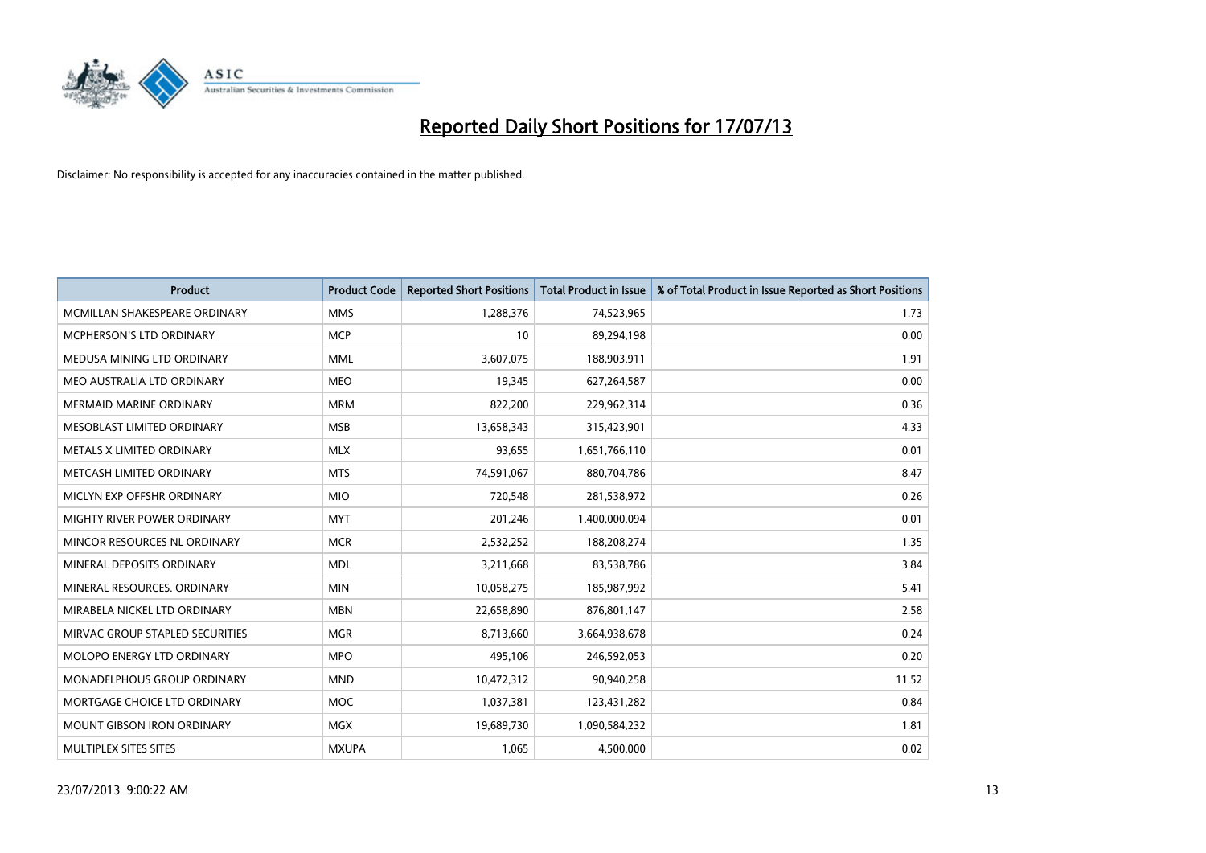

| <b>Product</b>                    | <b>Product Code</b> | <b>Reported Short Positions</b> | <b>Total Product in Issue</b> | % of Total Product in Issue Reported as Short Positions |
|-----------------------------------|---------------------|---------------------------------|-------------------------------|---------------------------------------------------------|
| MCMILLAN SHAKESPEARE ORDINARY     | <b>MMS</b>          | 1,288,376                       | 74,523,965                    | 1.73                                                    |
| <b>MCPHERSON'S LTD ORDINARY</b>   | <b>MCP</b>          | 10                              | 89,294,198                    | 0.00                                                    |
| MEDUSA MINING LTD ORDINARY        | <b>MML</b>          | 3,607,075                       | 188,903,911                   | 1.91                                                    |
| MEO AUSTRALIA LTD ORDINARY        | <b>MEO</b>          | 19,345                          | 627,264,587                   | 0.00                                                    |
| <b>MERMAID MARINE ORDINARY</b>    | <b>MRM</b>          | 822,200                         | 229,962,314                   | 0.36                                                    |
| MESOBLAST LIMITED ORDINARY        | <b>MSB</b>          | 13,658,343                      | 315,423,901                   | 4.33                                                    |
| METALS X LIMITED ORDINARY         | <b>MLX</b>          | 93,655                          | 1,651,766,110                 | 0.01                                                    |
| METCASH LIMITED ORDINARY          | <b>MTS</b>          | 74,591,067                      | 880,704,786                   | 8.47                                                    |
| MICLYN EXP OFFSHR ORDINARY        | <b>MIO</b>          | 720,548                         | 281,538,972                   | 0.26                                                    |
| MIGHTY RIVER POWER ORDINARY       | <b>MYT</b>          | 201,246                         | 1,400,000,094                 | 0.01                                                    |
| MINCOR RESOURCES NL ORDINARY      | <b>MCR</b>          | 2,532,252                       | 188,208,274                   | 1.35                                                    |
| MINERAL DEPOSITS ORDINARY         | <b>MDL</b>          | 3,211,668                       | 83,538,786                    | 3.84                                                    |
| MINERAL RESOURCES. ORDINARY       | <b>MIN</b>          | 10,058,275                      | 185,987,992                   | 5.41                                                    |
| MIRABELA NICKEL LTD ORDINARY      | <b>MBN</b>          | 22,658,890                      | 876,801,147                   | 2.58                                                    |
| MIRVAC GROUP STAPLED SECURITIES   | <b>MGR</b>          | 8,713,660                       | 3,664,938,678                 | 0.24                                                    |
| MOLOPO ENERGY LTD ORDINARY        | <b>MPO</b>          | 495,106                         | 246,592,053                   | 0.20                                                    |
| MONADELPHOUS GROUP ORDINARY       | <b>MND</b>          | 10,472,312                      | 90,940,258                    | 11.52                                                   |
| MORTGAGE CHOICE LTD ORDINARY      | MOC                 | 1,037,381                       | 123,431,282                   | 0.84                                                    |
| <b>MOUNT GIBSON IRON ORDINARY</b> | <b>MGX</b>          | 19,689,730                      | 1,090,584,232                 | 1.81                                                    |
| MULTIPLEX SITES SITES             | <b>MXUPA</b>        | 1,065                           | 4,500,000                     | 0.02                                                    |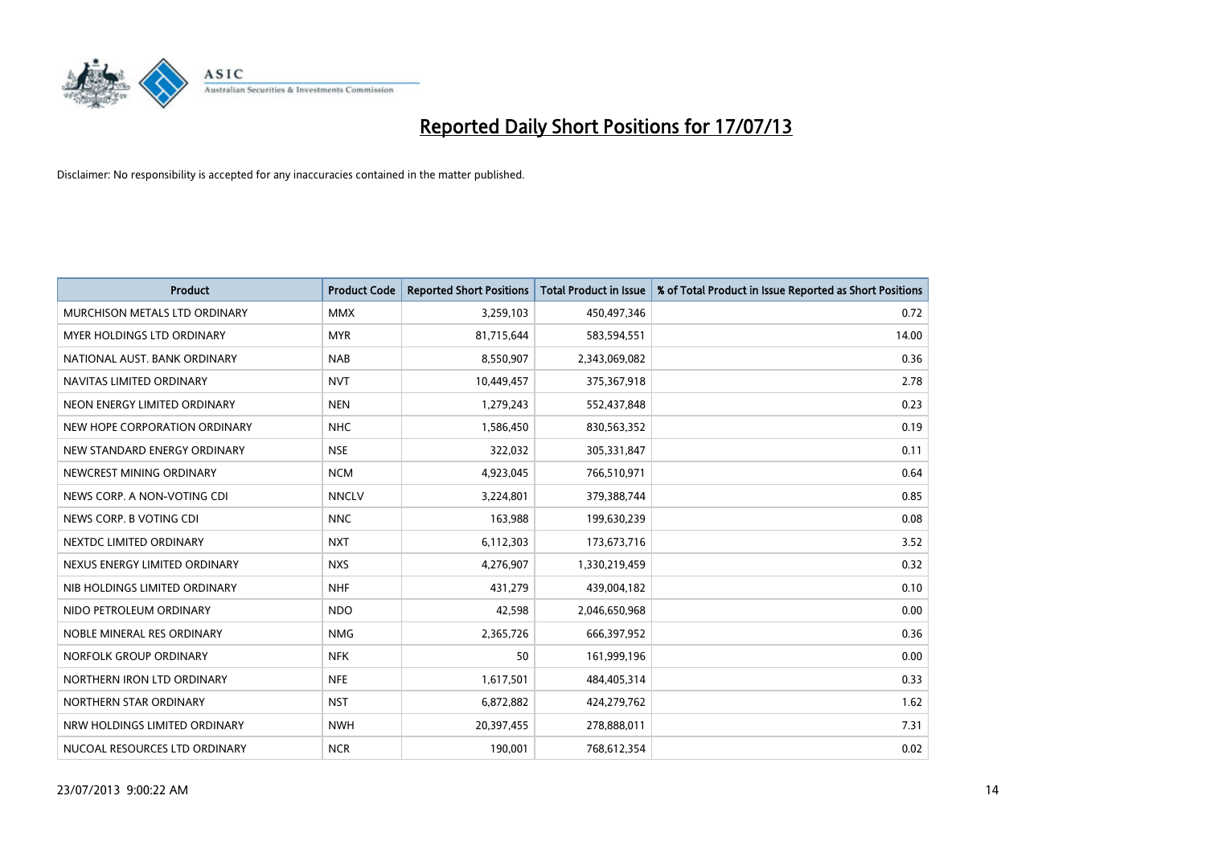

| <b>Product</b>                | <b>Product Code</b> | <b>Reported Short Positions</b> | <b>Total Product in Issue</b> | % of Total Product in Issue Reported as Short Positions |
|-------------------------------|---------------------|---------------------------------|-------------------------------|---------------------------------------------------------|
| MURCHISON METALS LTD ORDINARY | <b>MMX</b>          | 3,259,103                       | 450,497,346                   | 0.72                                                    |
| MYER HOLDINGS LTD ORDINARY    | <b>MYR</b>          | 81,715,644                      | 583,594,551                   | 14.00                                                   |
| NATIONAL AUST, BANK ORDINARY  | <b>NAB</b>          | 8,550,907                       | 2,343,069,082                 | 0.36                                                    |
| NAVITAS LIMITED ORDINARY      | <b>NVT</b>          | 10,449,457                      | 375,367,918                   | 2.78                                                    |
| NEON ENERGY LIMITED ORDINARY  | <b>NEN</b>          | 1,279,243                       | 552,437,848                   | 0.23                                                    |
| NEW HOPE CORPORATION ORDINARY | <b>NHC</b>          | 1,586,450                       | 830,563,352                   | 0.19                                                    |
| NEW STANDARD ENERGY ORDINARY  | <b>NSE</b>          | 322,032                         | 305,331,847                   | 0.11                                                    |
| NEWCREST MINING ORDINARY      | <b>NCM</b>          | 4,923,045                       | 766,510,971                   | 0.64                                                    |
| NEWS CORP. A NON-VOTING CDI   | <b>NNCLV</b>        | 3,224,801                       | 379,388,744                   | 0.85                                                    |
| NEWS CORP. B VOTING CDI       | <b>NNC</b>          | 163,988                         | 199,630,239                   | 0.08                                                    |
| NEXTDC LIMITED ORDINARY       | <b>NXT</b>          | 6,112,303                       | 173,673,716                   | 3.52                                                    |
| NEXUS ENERGY LIMITED ORDINARY | <b>NXS</b>          | 4,276,907                       | 1,330,219,459                 | 0.32                                                    |
| NIB HOLDINGS LIMITED ORDINARY | <b>NHF</b>          | 431,279                         | 439,004,182                   | 0.10                                                    |
| NIDO PETROLEUM ORDINARY       | <b>NDO</b>          | 42,598                          | 2,046,650,968                 | 0.00                                                    |
| NOBLE MINERAL RES ORDINARY    | <b>NMG</b>          | 2,365,726                       | 666,397,952                   | 0.36                                                    |
| NORFOLK GROUP ORDINARY        | <b>NFK</b>          | 50                              | 161,999,196                   | 0.00                                                    |
| NORTHERN IRON LTD ORDINARY    | <b>NFE</b>          | 1,617,501                       | 484,405,314                   | 0.33                                                    |
| NORTHERN STAR ORDINARY        | <b>NST</b>          | 6,872,882                       | 424,279,762                   | 1.62                                                    |
| NRW HOLDINGS LIMITED ORDINARY | <b>NWH</b>          | 20,397,455                      | 278,888,011                   | 7.31                                                    |
| NUCOAL RESOURCES LTD ORDINARY | <b>NCR</b>          | 190,001                         | 768,612,354                   | 0.02                                                    |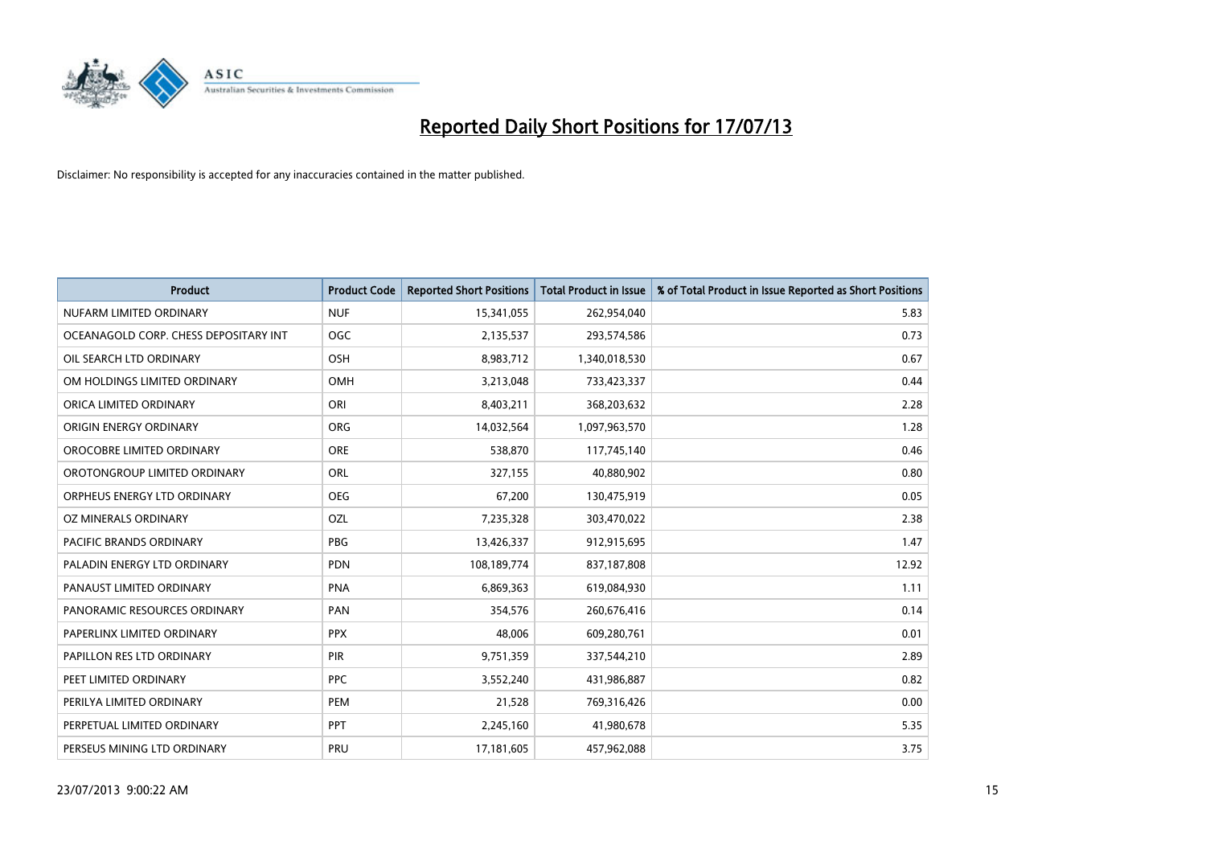

| <b>Product</b>                        | <b>Product Code</b> | <b>Reported Short Positions</b> | <b>Total Product in Issue</b> | % of Total Product in Issue Reported as Short Positions |
|---------------------------------------|---------------------|---------------------------------|-------------------------------|---------------------------------------------------------|
| NUFARM LIMITED ORDINARY               | <b>NUF</b>          | 15,341,055                      | 262,954,040                   | 5.83                                                    |
| OCEANAGOLD CORP. CHESS DEPOSITARY INT | <b>OGC</b>          | 2,135,537                       | 293,574,586                   | 0.73                                                    |
| OIL SEARCH LTD ORDINARY               | OSH                 | 8,983,712                       | 1,340,018,530                 | 0.67                                                    |
| OM HOLDINGS LIMITED ORDINARY          | OMH                 | 3,213,048                       | 733,423,337                   | 0.44                                                    |
| ORICA LIMITED ORDINARY                | ORI                 | 8,403,211                       | 368,203,632                   | 2.28                                                    |
| ORIGIN ENERGY ORDINARY                | <b>ORG</b>          | 14,032,564                      | 1,097,963,570                 | 1.28                                                    |
| OROCOBRE LIMITED ORDINARY             | <b>ORE</b>          | 538,870                         | 117,745,140                   | 0.46                                                    |
| OROTONGROUP LIMITED ORDINARY          | ORL                 | 327,155                         | 40,880,902                    | 0.80                                                    |
| ORPHEUS ENERGY LTD ORDINARY           | <b>OEG</b>          | 67,200                          | 130,475,919                   | 0.05                                                    |
| <b>OZ MINERALS ORDINARY</b>           | OZL                 | 7,235,328                       | 303,470,022                   | 2.38                                                    |
| PACIFIC BRANDS ORDINARY               | <b>PBG</b>          | 13,426,337                      | 912,915,695                   | 1.47                                                    |
| PALADIN ENERGY LTD ORDINARY           | <b>PDN</b>          | 108,189,774                     | 837,187,808                   | 12.92                                                   |
| PANAUST LIMITED ORDINARY              | <b>PNA</b>          | 6,869,363                       | 619,084,930                   | 1.11                                                    |
| PANORAMIC RESOURCES ORDINARY          | PAN                 | 354,576                         | 260,676,416                   | 0.14                                                    |
| PAPERLINX LIMITED ORDINARY            | <b>PPX</b>          | 48,006                          | 609,280,761                   | 0.01                                                    |
| PAPILLON RES LTD ORDINARY             | <b>PIR</b>          | 9,751,359                       | 337,544,210                   | 2.89                                                    |
| PEET LIMITED ORDINARY                 | <b>PPC</b>          | 3,552,240                       | 431,986,887                   | 0.82                                                    |
| PERILYA LIMITED ORDINARY              | PEM                 | 21,528                          | 769,316,426                   | 0.00                                                    |
| PERPETUAL LIMITED ORDINARY            | <b>PPT</b>          | 2,245,160                       | 41,980,678                    | 5.35                                                    |
| PERSEUS MINING LTD ORDINARY           | PRU                 | 17,181,605                      | 457,962,088                   | 3.75                                                    |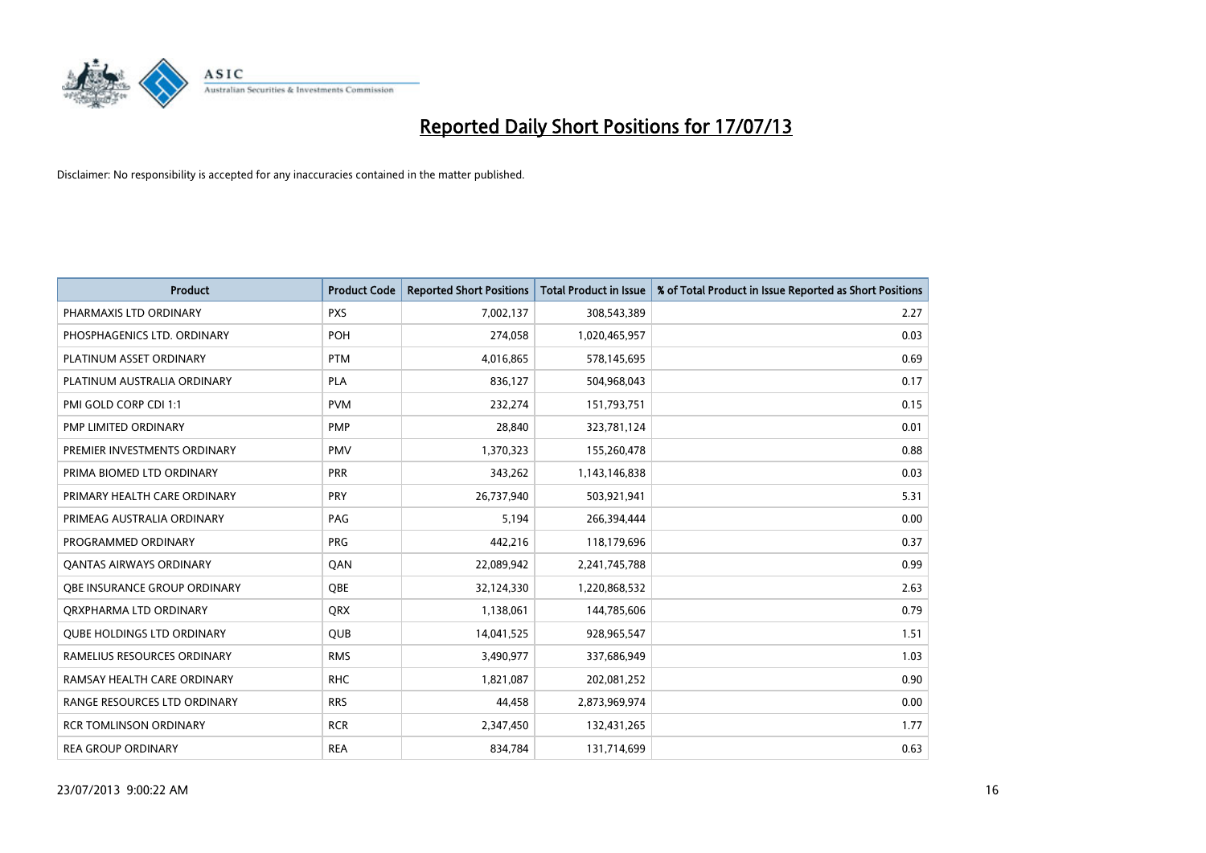

| <b>Product</b>                    | <b>Product Code</b> | <b>Reported Short Positions</b> | <b>Total Product in Issue</b> | % of Total Product in Issue Reported as Short Positions |
|-----------------------------------|---------------------|---------------------------------|-------------------------------|---------------------------------------------------------|
| PHARMAXIS LTD ORDINARY            | <b>PXS</b>          | 7,002,137                       | 308,543,389                   | 2.27                                                    |
| PHOSPHAGENICS LTD. ORDINARY       | POH                 | 274,058                         | 1,020,465,957                 | 0.03                                                    |
| PLATINUM ASSET ORDINARY           | <b>PTM</b>          | 4,016,865                       | 578,145,695                   | 0.69                                                    |
| PLATINUM AUSTRALIA ORDINARY       | <b>PLA</b>          | 836,127                         | 504,968,043                   | 0.17                                                    |
| PMI GOLD CORP CDI 1:1             | <b>PVM</b>          | 232,274                         | 151,793,751                   | 0.15                                                    |
| PMP LIMITED ORDINARY              | PMP                 | 28,840                          | 323,781,124                   | 0.01                                                    |
| PREMIER INVESTMENTS ORDINARY      | <b>PMV</b>          | 1,370,323                       | 155,260,478                   | 0.88                                                    |
| PRIMA BIOMED LTD ORDINARY         | <b>PRR</b>          | 343,262                         | 1,143,146,838                 | 0.03                                                    |
| PRIMARY HEALTH CARE ORDINARY      | <b>PRY</b>          | 26,737,940                      | 503,921,941                   | 5.31                                                    |
| PRIMEAG AUSTRALIA ORDINARY        | PAG                 | 5,194                           | 266,394,444                   | 0.00                                                    |
| PROGRAMMED ORDINARY               | PRG                 | 442,216                         | 118,179,696                   | 0.37                                                    |
| <b>QANTAS AIRWAYS ORDINARY</b>    | QAN                 | 22,089,942                      | 2,241,745,788                 | 0.99                                                    |
| OBE INSURANCE GROUP ORDINARY      | <b>OBE</b>          | 32,124,330                      | 1,220,868,532                 | 2.63                                                    |
| ORXPHARMA LTD ORDINARY            | QRX                 | 1,138,061                       | 144,785,606                   | 0.79                                                    |
| <b>QUBE HOLDINGS LTD ORDINARY</b> | <b>QUB</b>          | 14,041,525                      | 928,965,547                   | 1.51                                                    |
| RAMELIUS RESOURCES ORDINARY       | <b>RMS</b>          | 3,490,977                       | 337,686,949                   | 1.03                                                    |
| RAMSAY HEALTH CARE ORDINARY       | <b>RHC</b>          | 1,821,087                       | 202,081,252                   | 0.90                                                    |
| RANGE RESOURCES LTD ORDINARY      | <b>RRS</b>          | 44,458                          | 2,873,969,974                 | 0.00                                                    |
| <b>RCR TOMLINSON ORDINARY</b>     | <b>RCR</b>          | 2,347,450                       | 132,431,265                   | 1.77                                                    |
| <b>REA GROUP ORDINARY</b>         | <b>REA</b>          | 834,784                         | 131,714,699                   | 0.63                                                    |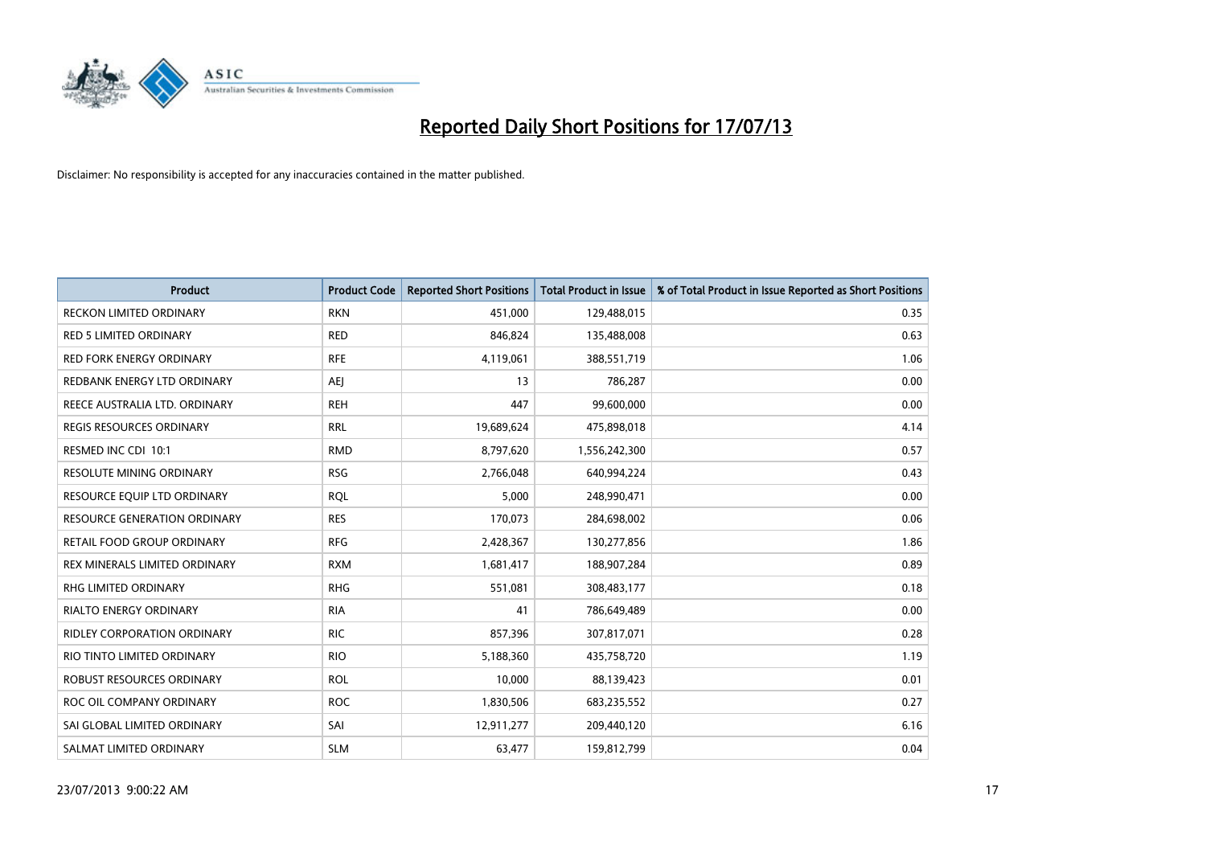

| <b>Product</b>                      | <b>Product Code</b> | <b>Reported Short Positions</b> | <b>Total Product in Issue</b> | % of Total Product in Issue Reported as Short Positions |
|-------------------------------------|---------------------|---------------------------------|-------------------------------|---------------------------------------------------------|
| <b>RECKON LIMITED ORDINARY</b>      | <b>RKN</b>          | 451,000                         | 129,488,015                   | 0.35                                                    |
| <b>RED 5 LIMITED ORDINARY</b>       | <b>RED</b>          | 846,824                         | 135,488,008                   | 0.63                                                    |
| RED FORK ENERGY ORDINARY            | <b>RFE</b>          | 4,119,061                       | 388,551,719                   | 1.06                                                    |
| REDBANK ENERGY LTD ORDINARY         | <b>AEI</b>          | 13                              | 786,287                       | 0.00                                                    |
| REECE AUSTRALIA LTD. ORDINARY       | <b>REH</b>          | 447                             | 99,600,000                    | 0.00                                                    |
| <b>REGIS RESOURCES ORDINARY</b>     | <b>RRL</b>          | 19,689,624                      | 475,898,018                   | 4.14                                                    |
| RESMED INC CDI 10:1                 | <b>RMD</b>          | 8,797,620                       | 1,556,242,300                 | 0.57                                                    |
| RESOLUTE MINING ORDINARY            | <b>RSG</b>          | 2,766,048                       | 640,994,224                   | 0.43                                                    |
| RESOURCE EQUIP LTD ORDINARY         | <b>ROL</b>          | 5,000                           | 248,990,471                   | 0.00                                                    |
| <b>RESOURCE GENERATION ORDINARY</b> | <b>RES</b>          | 170,073                         | 284,698,002                   | 0.06                                                    |
| RETAIL FOOD GROUP ORDINARY          | <b>RFG</b>          | 2,428,367                       | 130,277,856                   | 1.86                                                    |
| REX MINERALS LIMITED ORDINARY       | <b>RXM</b>          | 1,681,417                       | 188,907,284                   | 0.89                                                    |
| RHG LIMITED ORDINARY                | <b>RHG</b>          | 551,081                         | 308,483,177                   | 0.18                                                    |
| <b>RIALTO ENERGY ORDINARY</b>       | <b>RIA</b>          | 41                              | 786,649,489                   | 0.00                                                    |
| <b>RIDLEY CORPORATION ORDINARY</b>  | <b>RIC</b>          | 857,396                         | 307,817,071                   | 0.28                                                    |
| RIO TINTO LIMITED ORDINARY          | <b>RIO</b>          | 5,188,360                       | 435,758,720                   | 1.19                                                    |
| ROBUST RESOURCES ORDINARY           | <b>ROL</b>          | 10,000                          | 88,139,423                    | 0.01                                                    |
| ROC OIL COMPANY ORDINARY            | <b>ROC</b>          | 1,830,506                       | 683,235,552                   | 0.27                                                    |
| SAI GLOBAL LIMITED ORDINARY         | SAI                 | 12,911,277                      | 209,440,120                   | 6.16                                                    |
| SALMAT LIMITED ORDINARY             | <b>SLM</b>          | 63,477                          | 159,812,799                   | 0.04                                                    |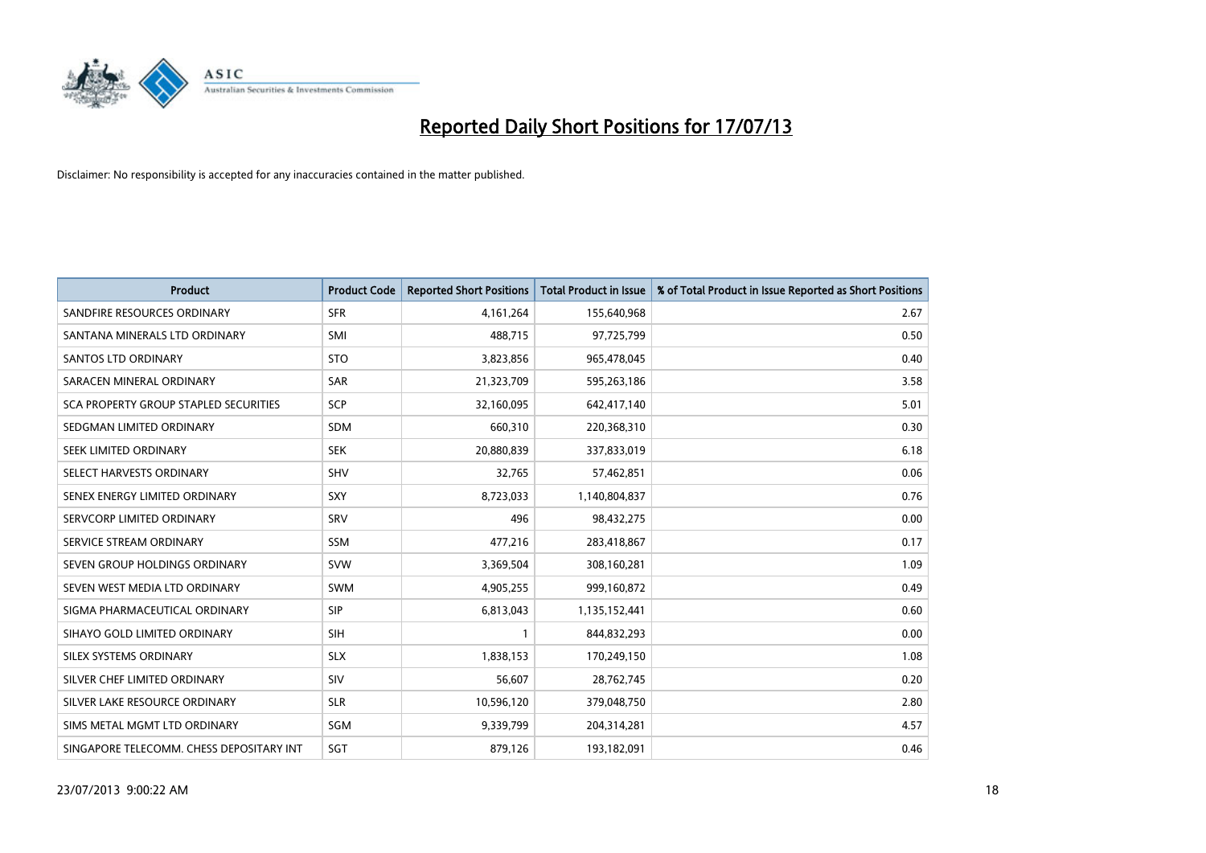

| <b>Product</b>                               | <b>Product Code</b> | <b>Reported Short Positions</b> | <b>Total Product in Issue</b> | % of Total Product in Issue Reported as Short Positions |
|----------------------------------------------|---------------------|---------------------------------|-------------------------------|---------------------------------------------------------|
| SANDFIRE RESOURCES ORDINARY                  | <b>SFR</b>          | 4, 161, 264                     | 155,640,968                   | 2.67                                                    |
| SANTANA MINERALS LTD ORDINARY                | <b>SMI</b>          | 488,715                         | 97,725,799                    | 0.50                                                    |
| <b>SANTOS LTD ORDINARY</b>                   | <b>STO</b>          | 3,823,856                       | 965,478,045                   | 0.40                                                    |
| SARACEN MINERAL ORDINARY                     | SAR                 | 21,323,709                      | 595,263,186                   | 3.58                                                    |
| <b>SCA PROPERTY GROUP STAPLED SECURITIES</b> | <b>SCP</b>          | 32,160,095                      | 642,417,140                   | 5.01                                                    |
| SEDGMAN LIMITED ORDINARY                     | SDM                 | 660,310                         | 220,368,310                   | 0.30                                                    |
| SEEK LIMITED ORDINARY                        | <b>SEK</b>          | 20,880,839                      | 337,833,019                   | 6.18                                                    |
| SELECT HARVESTS ORDINARY                     | <b>SHV</b>          | 32,765                          | 57,462,851                    | 0.06                                                    |
| SENEX ENERGY LIMITED ORDINARY                | <b>SXY</b>          | 8,723,033                       | 1,140,804,837                 | 0.76                                                    |
| SERVCORP LIMITED ORDINARY                    | SRV                 | 496                             | 98,432,275                    | 0.00                                                    |
| SERVICE STREAM ORDINARY                      | <b>SSM</b>          | 477,216                         | 283,418,867                   | 0.17                                                    |
| SEVEN GROUP HOLDINGS ORDINARY                | <b>SVW</b>          | 3,369,504                       | 308,160,281                   | 1.09                                                    |
| SEVEN WEST MEDIA LTD ORDINARY                | <b>SWM</b>          | 4,905,255                       | 999,160,872                   | 0.49                                                    |
| SIGMA PHARMACEUTICAL ORDINARY                | <b>SIP</b>          | 6,813,043                       | 1,135,152,441                 | 0.60                                                    |
| SIHAYO GOLD LIMITED ORDINARY                 | <b>SIH</b>          | 1                               | 844,832,293                   | 0.00                                                    |
| SILEX SYSTEMS ORDINARY                       | <b>SLX</b>          | 1,838,153                       | 170,249,150                   | 1.08                                                    |
| SILVER CHEF LIMITED ORDINARY                 | SIV                 | 56,607                          | 28,762,745                    | 0.20                                                    |
| SILVER LAKE RESOURCE ORDINARY                | <b>SLR</b>          | 10,596,120                      | 379,048,750                   | 2.80                                                    |
| SIMS METAL MGMT LTD ORDINARY                 | SGM                 | 9,339,799                       | 204,314,281                   | 4.57                                                    |
| SINGAPORE TELECOMM. CHESS DEPOSITARY INT     | SGT                 | 879,126                         | 193,182,091                   | 0.46                                                    |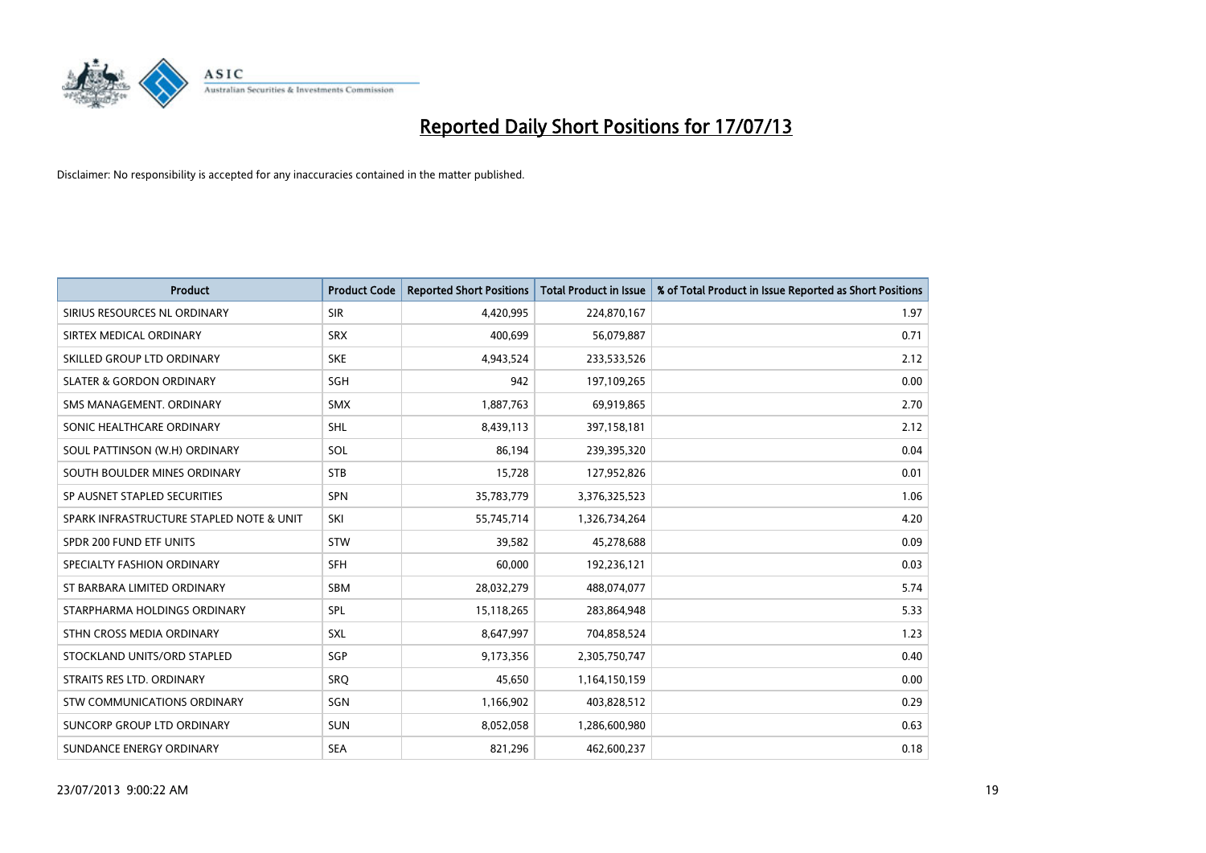

| <b>Product</b>                           | <b>Product Code</b> | <b>Reported Short Positions</b> | <b>Total Product in Issue</b> | % of Total Product in Issue Reported as Short Positions |
|------------------------------------------|---------------------|---------------------------------|-------------------------------|---------------------------------------------------------|
| SIRIUS RESOURCES NL ORDINARY             | <b>SIR</b>          | 4,420,995                       | 224,870,167                   | 1.97                                                    |
| SIRTEX MEDICAL ORDINARY                  | <b>SRX</b>          | 400,699                         | 56,079,887                    | 0.71                                                    |
| SKILLED GROUP LTD ORDINARY               | <b>SKE</b>          | 4,943,524                       | 233,533,526                   | 2.12                                                    |
| <b>SLATER &amp; GORDON ORDINARY</b>      | <b>SGH</b>          | 942                             | 197,109,265                   | 0.00                                                    |
| SMS MANAGEMENT, ORDINARY                 | <b>SMX</b>          | 1,887,763                       | 69,919,865                    | 2.70                                                    |
| SONIC HEALTHCARE ORDINARY                | <b>SHL</b>          | 8,439,113                       | 397,158,181                   | 2.12                                                    |
| SOUL PATTINSON (W.H) ORDINARY            | SOL                 | 86,194                          | 239,395,320                   | 0.04                                                    |
| SOUTH BOULDER MINES ORDINARY             | <b>STB</b>          | 15,728                          | 127,952,826                   | 0.01                                                    |
| SP AUSNET STAPLED SECURITIES             | <b>SPN</b>          | 35,783,779                      | 3,376,325,523                 | 1.06                                                    |
| SPARK INFRASTRUCTURE STAPLED NOTE & UNIT | SKI                 | 55,745,714                      | 1,326,734,264                 | 4.20                                                    |
| SPDR 200 FUND ETF UNITS                  | <b>STW</b>          | 39,582                          | 45,278,688                    | 0.09                                                    |
| SPECIALTY FASHION ORDINARY               | <b>SFH</b>          | 60,000                          | 192,236,121                   | 0.03                                                    |
| ST BARBARA LIMITED ORDINARY              | <b>SBM</b>          | 28,032,279                      | 488,074,077                   | 5.74                                                    |
| STARPHARMA HOLDINGS ORDINARY             | SPL                 | 15,118,265                      | 283,864,948                   | 5.33                                                    |
| STHN CROSS MEDIA ORDINARY                | <b>SXL</b>          | 8,647,997                       | 704,858,524                   | 1.23                                                    |
| STOCKLAND UNITS/ORD STAPLED              | SGP                 | 9,173,356                       | 2,305,750,747                 | 0.40                                                    |
| STRAITS RES LTD. ORDINARY                | SRQ                 | 45,650                          | 1,164,150,159                 | 0.00                                                    |
| STW COMMUNICATIONS ORDINARY              | <b>SGN</b>          | 1,166,902                       | 403,828,512                   | 0.29                                                    |
| SUNCORP GROUP LTD ORDINARY               | <b>SUN</b>          | 8,052,058                       | 1,286,600,980                 | 0.63                                                    |
| SUNDANCE ENERGY ORDINARY                 | <b>SEA</b>          | 821,296                         | 462,600,237                   | 0.18                                                    |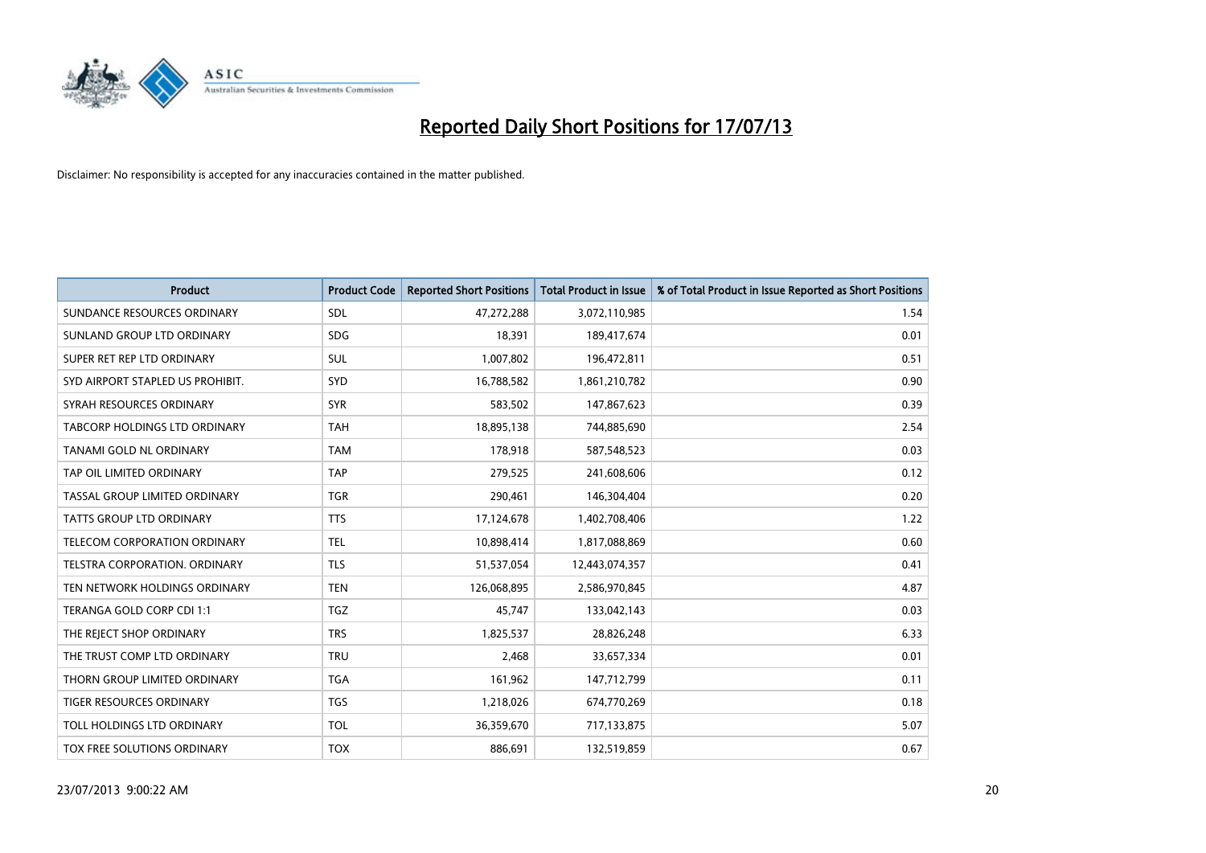

| <b>Product</b>                   | <b>Product Code</b> | <b>Reported Short Positions</b> | <b>Total Product in Issue</b> | % of Total Product in Issue Reported as Short Positions |
|----------------------------------|---------------------|---------------------------------|-------------------------------|---------------------------------------------------------|
| SUNDANCE RESOURCES ORDINARY      | <b>SDL</b>          | 47,272,288                      | 3,072,110,985                 | 1.54                                                    |
| SUNLAND GROUP LTD ORDINARY       | <b>SDG</b>          | 18,391                          | 189,417,674                   | 0.01                                                    |
| SUPER RET REP LTD ORDINARY       | SUL                 | 1,007,802                       | 196,472,811                   | 0.51                                                    |
| SYD AIRPORT STAPLED US PROHIBIT. | SYD                 | 16,788,582                      | 1,861,210,782                 | 0.90                                                    |
| SYRAH RESOURCES ORDINARY         | <b>SYR</b>          | 583,502                         | 147,867,623                   | 0.39                                                    |
| TABCORP HOLDINGS LTD ORDINARY    | <b>TAH</b>          | 18,895,138                      | 744,885,690                   | 2.54                                                    |
| TANAMI GOLD NL ORDINARY          | <b>TAM</b>          | 178,918                         | 587,548,523                   | 0.03                                                    |
| TAP OIL LIMITED ORDINARY         | <b>TAP</b>          | 279,525                         | 241,608,606                   | 0.12                                                    |
| TASSAL GROUP LIMITED ORDINARY    | <b>TGR</b>          | 290,461                         | 146,304,404                   | 0.20                                                    |
| <b>TATTS GROUP LTD ORDINARY</b>  | <b>TTS</b>          | 17,124,678                      | 1,402,708,406                 | 1.22                                                    |
| TELECOM CORPORATION ORDINARY     | <b>TEL</b>          | 10,898,414                      | 1,817,088,869                 | 0.60                                                    |
| TELSTRA CORPORATION. ORDINARY    | <b>TLS</b>          | 51,537,054                      | 12,443,074,357                | 0.41                                                    |
| TEN NETWORK HOLDINGS ORDINARY    | <b>TEN</b>          | 126,068,895                     | 2,586,970,845                 | 4.87                                                    |
| TERANGA GOLD CORP CDI 1:1        | <b>TGZ</b>          | 45,747                          | 133,042,143                   | 0.03                                                    |
| THE REJECT SHOP ORDINARY         | <b>TRS</b>          | 1,825,537                       | 28,826,248                    | 6.33                                                    |
| THE TRUST COMP LTD ORDINARY      | <b>TRU</b>          | 2,468                           | 33,657,334                    | 0.01                                                    |
| THORN GROUP LIMITED ORDINARY     | <b>TGA</b>          | 161,962                         | 147,712,799                   | 0.11                                                    |
| TIGER RESOURCES ORDINARY         | <b>TGS</b>          | 1,218,026                       | 674,770,269                   | 0.18                                                    |
| TOLL HOLDINGS LTD ORDINARY       | <b>TOL</b>          | 36,359,670                      | 717,133,875                   | 5.07                                                    |
| TOX FREE SOLUTIONS ORDINARY      | <b>TOX</b>          | 886,691                         | 132,519,859                   | 0.67                                                    |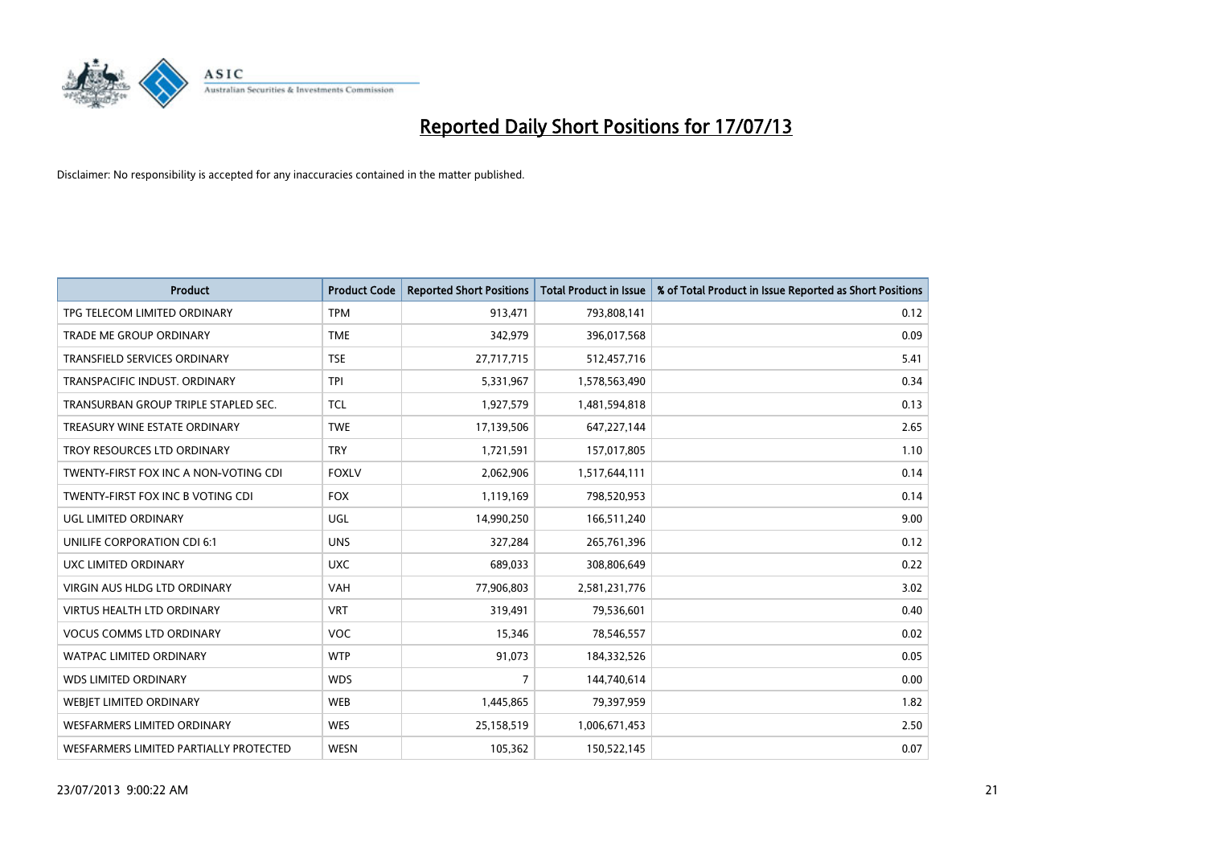

| <b>Product</b>                         | <b>Product Code</b> | <b>Reported Short Positions</b> | <b>Total Product in Issue</b> | % of Total Product in Issue Reported as Short Positions |
|----------------------------------------|---------------------|---------------------------------|-------------------------------|---------------------------------------------------------|
| TPG TELECOM LIMITED ORDINARY           | <b>TPM</b>          | 913,471                         | 793,808,141                   | 0.12                                                    |
| TRADE ME GROUP ORDINARY                | <b>TME</b>          | 342,979                         | 396,017,568                   | 0.09                                                    |
| <b>TRANSFIELD SERVICES ORDINARY</b>    | <b>TSE</b>          | 27,717,715                      | 512,457,716                   | 5.41                                                    |
| TRANSPACIFIC INDUST. ORDINARY          | <b>TPI</b>          | 5,331,967                       | 1,578,563,490                 | 0.34                                                    |
| TRANSURBAN GROUP TRIPLE STAPLED SEC.   | <b>TCL</b>          | 1,927,579                       | 1,481,594,818                 | 0.13                                                    |
| TREASURY WINE ESTATE ORDINARY          | <b>TWE</b>          | 17,139,506                      | 647,227,144                   | 2.65                                                    |
| TROY RESOURCES LTD ORDINARY            | <b>TRY</b>          | 1,721,591                       | 157,017,805                   | 1.10                                                    |
| TWENTY-FIRST FOX INC A NON-VOTING CDI  | <b>FOXLV</b>        | 2,062,906                       | 1,517,644,111                 | 0.14                                                    |
| TWENTY-FIRST FOX INC B VOTING CDI      | <b>FOX</b>          | 1,119,169                       | 798,520,953                   | 0.14                                                    |
| UGL LIMITED ORDINARY                   | UGL                 | 14,990,250                      | 166,511,240                   | 9.00                                                    |
| UNILIFE CORPORATION CDI 6:1            | <b>UNS</b>          | 327,284                         | 265,761,396                   | 0.12                                                    |
| UXC LIMITED ORDINARY                   | <b>UXC</b>          | 689,033                         | 308,806,649                   | 0.22                                                    |
| VIRGIN AUS HLDG LTD ORDINARY           | <b>VAH</b>          | 77,906,803                      | 2,581,231,776                 | 3.02                                                    |
| VIRTUS HEALTH LTD ORDINARY             | <b>VRT</b>          | 319,491                         | 79,536,601                    | 0.40                                                    |
| <b>VOCUS COMMS LTD ORDINARY</b>        | <b>VOC</b>          | 15,346                          | 78,546,557                    | 0.02                                                    |
| WATPAC LIMITED ORDINARY                | <b>WTP</b>          | 91,073                          | 184,332,526                   | 0.05                                                    |
| <b>WDS LIMITED ORDINARY</b>            | <b>WDS</b>          | $\overline{7}$                  | 144,740,614                   | 0.00                                                    |
| WEBJET LIMITED ORDINARY                | <b>WEB</b>          | 1,445,865                       | 79,397,959                    | 1.82                                                    |
| <b>WESFARMERS LIMITED ORDINARY</b>     | <b>WES</b>          | 25,158,519                      | 1,006,671,453                 | 2.50                                                    |
| WESFARMERS LIMITED PARTIALLY PROTECTED | <b>WESN</b>         | 105,362                         | 150,522,145                   | 0.07                                                    |